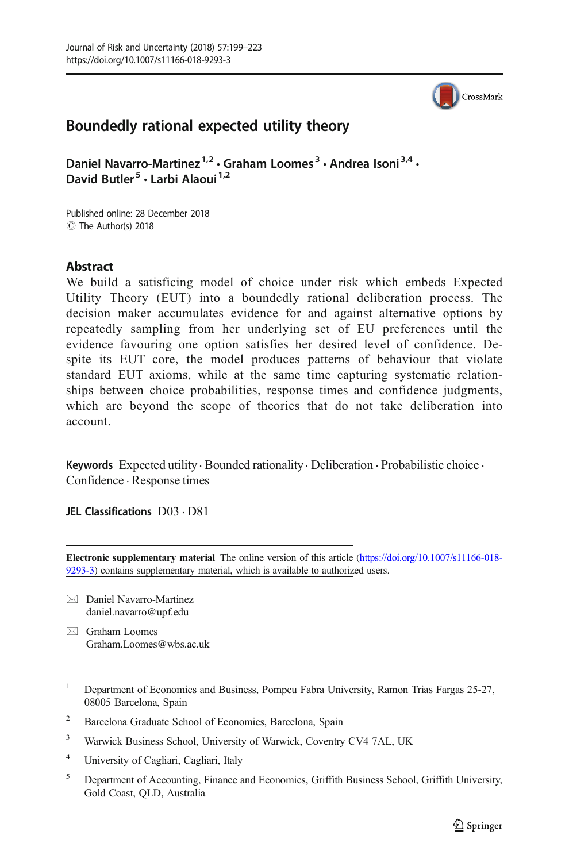

# Boundedly rational expected utility theory

Daniel Navarro-Martinez<sup>1,2</sup> · Graham Loomes<sup>3</sup> · Andrea Isoni<sup>3,4</sup> · David Butler<sup>5</sup> . Larbi Alaoui<sup>1,2</sup>

Published online: 28 December 2018 C The Author(s) 2018

## **Abstract**

We build a satisficing model of choice under risk which embeds Expected Utility Theory (EUT) into a boundedly rational deliberation process. The decision maker accumulates evidence for and against alternative options by repeatedly sampling from her underlying set of EU preferences until the evidence favouring one option satisfies her desired level of confidence. Despite its EUT core, the model produces patterns of behaviour that violate standard EUT axioms, while at the same time capturing systematic relationships between choice probabilities, response times and confidence judgments, which are beyond the scope of theories that do not take deliberation into account.

Keywords Expected utility  $\cdot$  Bounded rationality  $\cdot$  Deliberation  $\cdot$  Probabilistic choice  $\cdot$ Confidence . Response times

JEL Classifications D03 . D81

Electronic supplementary material The online version of this article ([https://doi.org/10.1007/s11166-018-](https://doi.org/10.1007/s11166-018-9293-3) [9293-3\)](https://doi.org/10.1007/s11166-018-9293-3) contains supplementary material, which is available to authorized users.

- $\boxtimes$  Daniel Navarro-Martinez [daniel.navarro@upf.edu](mailto:Graham.Loomes@wbs.ac.uk)
- $\boxtimes$  Graham Loomes [Graham.Loomes@wbs.ac.uk](mailto:Graham.Loomes@wbs.ac.uk)
- <sup>1</sup> Department of Economics and Business, Pompeu Fabra University, Ramon Trias Fargas 25-27, 08005 Barcelona, Spain
- <sup>2</sup> Barcelona Graduate School of Economics, Barcelona, Spain
- <sup>3</sup> Warwick Business School, University of Warwick, Coventry CV4 7AL, UK
- <sup>4</sup> University of Cagliari, Cagliari, Italy
- <sup>5</sup> Department of Accounting, Finance and Economics, Griffith Business School, Griffith University, Gold Coast, QLD, Australia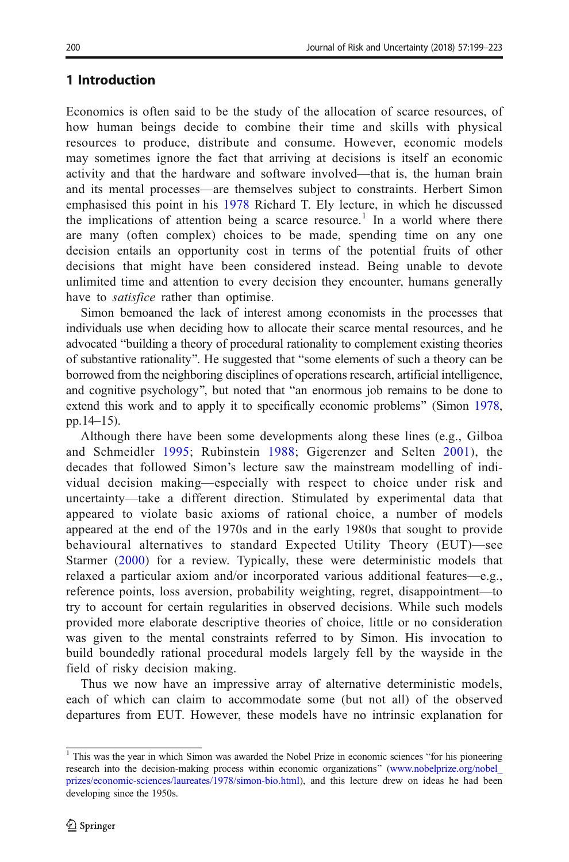## 1 Introduction

Economics is often said to be the study of the allocation of scarce resources, of how human beings decide to combine their time and skills with physical resources to produce, distribute and consume. However, economic models may sometimes ignore the fact that arriving at decisions is itself an economic activity and that the hardware and software involved—that is, the human brain and its mental processes—are themselves subject to constraints. Herbert Simon emphasised this point in his [1978](#page-23-0) Richard T. Ely lecture, in which he discussed the implications of attention being a scarce resource.<sup>1</sup> In a world where there are many (often complex) choices to be made, spending time on any one decision entails an opportunity cost in terms of the potential fruits of other decisions that might have been considered instead. Being unable to devote unlimited time and attention to every decision they encounter, humans generally have to *satisfice* rather than optimise.

Simon bemoaned the lack of interest among economists in the processes that individuals use when deciding how to allocate their scarce mental resources, and he advocated "building a theory of procedural rationality to complement existing theories of substantive rationality". He suggested that "some elements of such a theory can be borrowed from the neighboring disciplines of operations research, artificial intelligence, and cognitive psychology", but noted that "an enormous job remains to be done to extend this work and to apply it to specifically economic problems" (Simon [1978,](#page-23-0) pp.14–15).

Although there have been some developments along these lines (e.g., Gilboa and Schmeidler [1995](#page-22-0); Rubinstein [1988;](#page-23-0) Gigerenzer and Selten [2001](#page-22-0)), the decades that followed Simon's lecture saw the mainstream modelling of individual decision making—especially with respect to choice under risk and uncertainty—take a different direction. Stimulated by experimental data that appeared to violate basic axioms of rational choice, a number of models appeared at the end of the 1970s and in the early 1980s that sought to provide behavioural alternatives to standard Expected Utility Theory (EUT)—see Starmer ([2000](#page-23-0)) for a review. Typically, these were deterministic models that relaxed a particular axiom and/or incorporated various additional features—e.g., reference points, loss aversion, probability weighting, regret, disappointment—to try to account for certain regularities in observed decisions. While such models provided more elaborate descriptive theories of choice, little or no consideration was given to the mental constraints referred to by Simon. His invocation to build boundedly rational procedural models largely fell by the wayside in the field of risky decision making.

Thus we now have an impressive array of alternative deterministic models, each of which can claim to accommodate some (but not all) of the observed departures from EUT. However, these models have no intrinsic explanation for

 $1$  This was the year in which Simon was awarded the Nobel Prize in economic sciences "for his pioneering research into the decision-making process within economic organizations" (www.nobelprize.org/nobel [prizes/economic-sciences/laureates/1978/simon-bio.html\)](http://www.nobelprize.org/nobel_prizes/economic-sciences/laureates/1978/simon-bio.html), and this lecture drew on ideas he had been developing since the 1950s.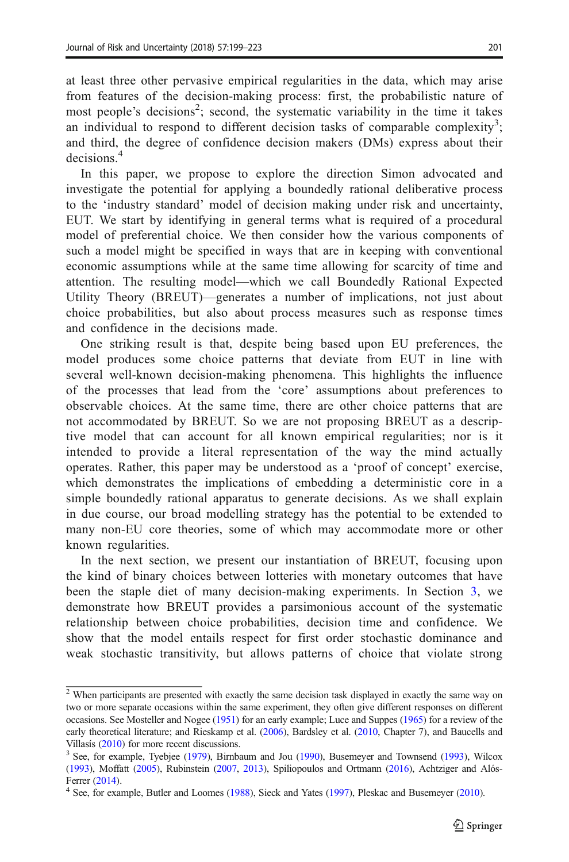at least three other pervasive empirical regularities in the data, which may arise from features of the decision-making process: first, the probabilistic nature of most people's decisions<sup>2</sup>; second, the systematic variability in the time it takes an individual to respond to different decision tasks of comparable complexity<sup>3</sup>; and third, the degree of confidence decision makers (DMs) express about their decisions<sup>4</sup>

In this paper, we propose to explore the direction Simon advocated and investigate the potential for applying a boundedly rational deliberative process to the 'industry standard' model of decision making under risk and uncertainty, EUT. We start by identifying in general terms what is required of a procedural model of preferential choice. We then consider how the various components of such a model might be specified in ways that are in keeping with conventional economic assumptions while at the same time allowing for scarcity of time and attention. The resulting model—which we call Boundedly Rational Expected Utility Theory (BREUT)—generates a number of implications, not just about choice probabilities, but also about process measures such as response times and confidence in the decisions made.

One striking result is that, despite being based upon EU preferences, the model produces some choice patterns that deviate from EUT in line with several well-known decision-making phenomena. This highlights the influence of the processes that lead from the 'core' assumptions about preferences to observable choices. At the same time, there are other choice patterns that are not accommodated by BREUT. So we are not proposing BREUT as a descriptive model that can account for all known empirical regularities; nor is it intended to provide a literal representation of the way the mind actually operates. Rather, this paper may be understood as a 'proof of concept' exercise, which demonstrates the implications of embedding a deterministic core in a simple boundedly rational apparatus to generate decisions. As we shall explain in due course, our broad modelling strategy has the potential to be extended to many non-EU core theories, some of which may accommodate more or other known regularities.

In the next section, we present our instantiation of BREUT, focusing upon the kind of binary choices between lotteries with monetary outcomes that have been the staple diet of many decision-making experiments. In Section [3,](#page-9-0) we demonstrate how BREUT provides a parsimonious account of the systematic relationship between choice probabilities, decision time and confidence. We show that the model entails respect for first order stochastic dominance and weak stochastic transitivity, but allows patterns of choice that violate strong

<sup>&</sup>lt;sup>2</sup> When participants are presented with exactly the same decision task displayed in exactly the same way on two or more separate occasions within the same experiment, they often give different responses on different occasions. See Mosteller and Nogee ([1951](#page-23-0)) for an early example; Luce and Suppes [\(1965\)](#page-23-0) for a review of the early theoretical literature; and Rieskamp et al. [\(2006\)](#page-23-0), Bardsley et al. [\(2010,](#page-21-0) Chapter 7), and Baucells and

Villasís ([2010](#page-21-0)) for more recent discussions.<br><sup>3</sup> See, for example, Tyebjee [\(1979\)](#page-24-0), Birnbaum and Jou [\(1990\)](#page-22-0), Busemeyer and Townsend [\(1993\)](#page-22-0), Wilcox ([1993\)](#page-24-0), Moffatt [\(2005\)](#page-23-0), Rubinstein [\(2007,](#page-23-0) [2013\)](#page-23-0), Spiliopoulos and Ortmann [\(2016](#page-23-0)), Achtziger and Alós-

Ferrer [\(2014\)](#page-21-0).<br><sup>4</sup> See, for example, Butler and Loomes ([1988](#page-22-0)), Sieck and Yates [\(1997\)](#page-23-0), Pleskac and Busemeyer [\(2010\)](#page-23-0).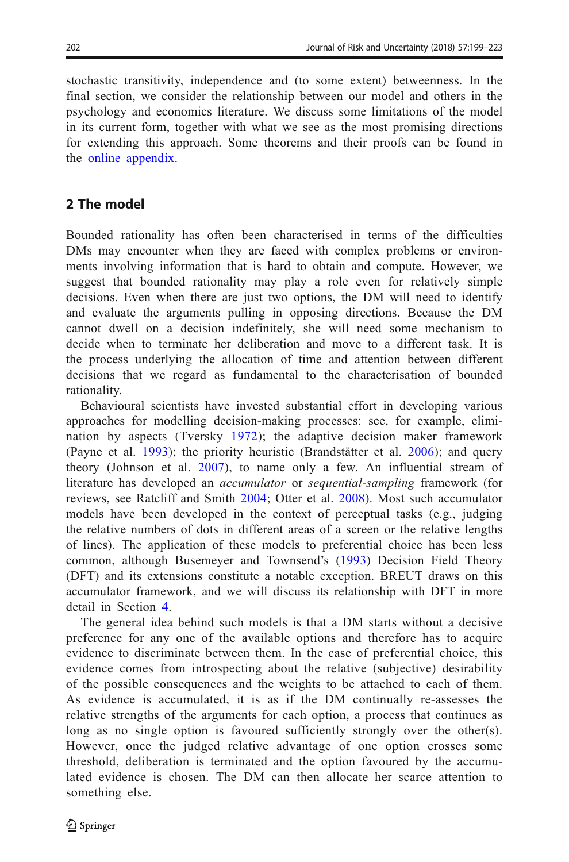stochastic transitivity, independence and (to some extent) betweenness. In the final section, we consider the relationship between our model and others in the psychology and economics literature. We discuss some limitations of the model in its current form, together with what we see as the most promising directions for extending this approach. Some theorems and their proofs can be found in the online appendix.

## 2 The model

Bounded rationality has often been characterised in terms of the difficulties DMs may encounter when they are faced with complex problems or environments involving information that is hard to obtain and compute. However, we suggest that bounded rationality may play a role even for relatively simple decisions. Even when there are just two options, the DM will need to identify and evaluate the arguments pulling in opposing directions. Because the DM cannot dwell on a decision indefinitely, she will need some mechanism to decide when to terminate her deliberation and move to a different task. It is the process underlying the allocation of time and attention between different decisions that we regard as fundamental to the characterisation of bounded rationality.

Behavioural scientists have invested substantial effort in developing various approaches for modelling decision-making processes: see, for example, elimination by aspects (Tversky [1972](#page-24-0)); the adaptive decision maker framework (Payne et al. [1993](#page-23-0)); the priority heuristic (Brandstätter et al. [2006\)](#page-22-0); and query theory (Johnson et al. [2007\)](#page-22-0), to name only a few. An influential stream of literature has developed an accumulator or sequential-sampling framework (for reviews, see Ratcliff and Smith [2004](#page-23-0); Otter et al. [2008](#page-23-0)). Most such accumulator models have been developed in the context of perceptual tasks (e.g., judging the relative numbers of dots in different areas of a screen or the relative lengths of lines). The application of these models to preferential choice has been less common, although Busemeyer and Townsend's ([1993](#page-22-0)) Decision Field Theory (DFT) and its extensions constitute a notable exception. BREUT draws on this accumulator framework, and we will discuss its relationship with DFT in more detail in Section [4](#page-18-0).

The general idea behind such models is that a DM starts without a decisive preference for any one of the available options and therefore has to acquire evidence to discriminate between them. In the case of preferential choice, this evidence comes from introspecting about the relative (subjective) desirability of the possible consequences and the weights to be attached to each of them. As evidence is accumulated, it is as if the DM continually re-assesses the relative strengths of the arguments for each option, a process that continues as long as no single option is favoured sufficiently strongly over the other(s). However, once the judged relative advantage of one option crosses some threshold, deliberation is terminated and the option favoured by the accumulated evidence is chosen. The DM can then allocate her scarce attention to something else.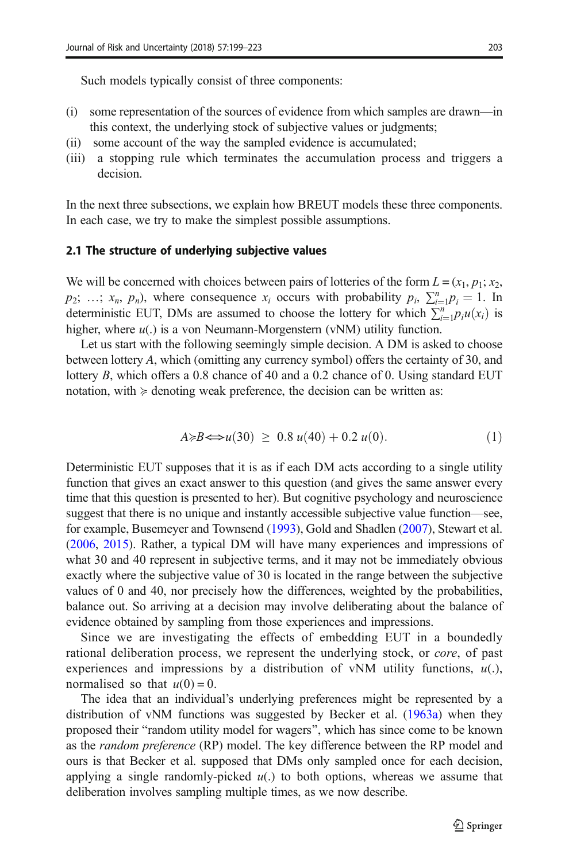Such models typically consist of three components:

- (i) some representation of the sources of evidence from which samples are drawn—in this context, the underlying stock of subjective values or judgments;
- (ii) some account of the way the sampled evidence is accumulated;
- (iii) a stopping rule which terminates the accumulation process and triggers a decision.

In the next three subsections, we explain how BREUT models these three components. In each case, we try to make the simplest possible assumptions.

#### 2.1 The structure of underlying subjective values

We will be concerned with choices between pairs of lotteries of the form  $L = (x_1, p_1; x_2,$  $p_2$ ; …;  $x_n$ ,  $p_n$ ), where consequence  $x_i$  occurs with probability  $p_i$ ,  $\sum_{i=1}^n p_i = 1$ . In deterministic EUT, DMs are assumed to choose the lottery for which  $\sum_{i=1}^{n} p_i u(x_i)$  is higher, where  $u(.)$  is a von Neumann-Morgenstern (vNM) utility function.

Let us start with the following seemingly simple decision. A DM is asked to choose between lottery A, which (omitting any currency symbol) offers the certainty of 30, and lottery B, which offers a 0.8 chance of 40 and a 0.2 chance of 0. Using standard EUT notation, with  $\succeq$  denoting weak preference, the decision can be written as:

$$
A \geq B \Longleftrightarrow u(30) \geq 0.8 \ u(40) + 0.2 \ u(0). \tag{1}
$$

Deterministic EUT supposes that it is as if each DM acts according to a single utility function that gives an exact answer to this question (and gives the same answer every time that this question is presented to her). But cognitive psychology and neuroscience suggest that there is no unique and instantly accessible subjective value function—see, for example, Busemeyer and Townsend [\(1993\)](#page-22-0), Gold and Shadlen [\(2007\)](#page-22-0), Stewart et al. [\(2006,](#page-23-0) [2015](#page-23-0)). Rather, a typical DM will have many experiences and impressions of what 30 and 40 represent in subjective terms, and it may not be immediately obvious exactly where the subjective value of 30 is located in the range between the subjective values of 0 and 40, nor precisely how the differences, weighted by the probabilities, balance out. So arriving at a decision may involve deliberating about the balance of evidence obtained by sampling from those experiences and impressions.

Since we are investigating the effects of embedding EUT in a boundedly rational deliberation process, we represent the underlying stock, or *core*, of past experiences and impressions by a distribution of vNM utility functions,  $u(.)$ , normalised so that  $u(0) = 0$ .

The idea that an individual's underlying preferences might be represented by a distribution of vNM functions was suggested by Becker et al. ([1963a](#page-21-0)) when they proposed their "random utility model for wagers", which has since come to be known as the random preference (RP) model. The key difference between the RP model and ours is that Becker et al. supposed that DMs only sampled once for each decision, applying a single randomly-picked  $u(.)$  to both options, whereas we assume that deliberation involves sampling multiple times, as we now describe.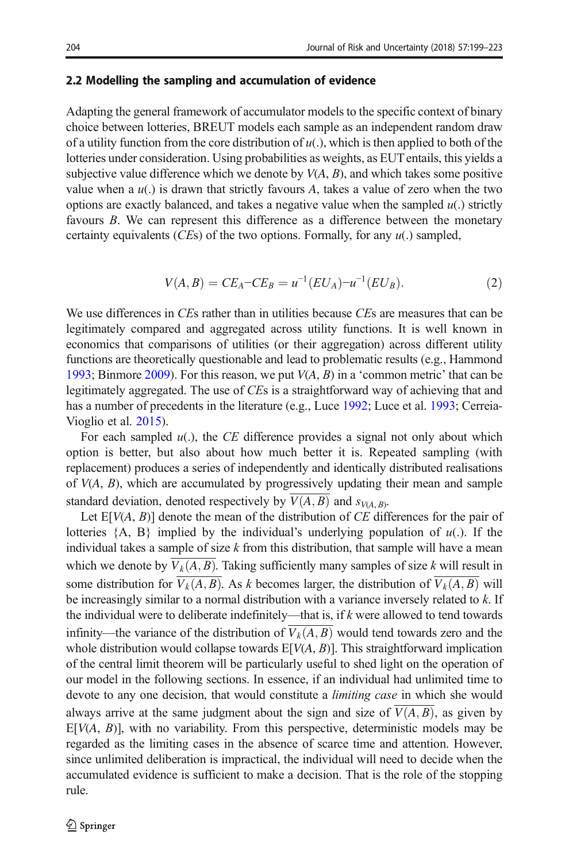#### <span id="page-5-0"></span>2.2 Modelling the sampling and accumulation of evidence

Adapting the general framework of accumulator models to the specific context of binary choice between lotteries, BREUT models each sample as an independent random draw of a utility function from the core distribution of  $u(.)$ , which is then applied to both of the lotteries under consideration. Using probabilities as weights, as EUT entails, this yields a subjective value difference which we denote by  $V(A, B)$ , and which takes some positive value when a  $u(.)$  is drawn that strictly favours A, takes a value of zero when the two options are exactly balanced, and takes a negative value when the sampled  $u(.)$  strictly favours B. We can represent this difference as a difference between the monetary certainty equivalents (*CEs*) of the two options. Formally, for any  $u(.)$  sampled,

$$
V(A,B) = CEA-CEB = u-1(EUA)-u-1(EUB).
$$
\n(2)

We use differences in CEs rather than in utilities because CEs are measures that can be legitimately compared and aggregated across utility functions. It is well known in economics that comparisons of utilities (or their aggregation) across different utility functions are theoretically questionable and lead to problematic results (e.g., Hammond [1993;](#page-22-0) Binmore [2009](#page-22-0)). For this reason, we put  $V(A, B)$  in a 'common metric' that can be legitimately aggregated. The use of CEs is a straightforward way of achieving that and has a number of precedents in the literature (e.g., Luce [1992](#page-23-0); Luce et al. [1993;](#page-23-0) Cerreia-Vioglio et al. [2015\)](#page-22-0).

For each sampled  $u(.)$ , the CE difference provides a signal not only about which option is better, but also about how much better it is. Repeated sampling (with replacement) produces a series of independently and identically distributed realisations of  $V(A, B)$ , which are accumulated by progressively updating their mean and sample standard deviation, denoted respectively by  $V(A, B)$  and  $s_{V(A, B)}$ .

Let  $E[V(A, B)]$  denote the mean of the distribution of CE differences for the pair of lotteries  ${A, B}$  implied by the individual's underlying population of  $u(.)$ . If the individual takes a sample of size  $k$  from this distribution, that sample will have a mean which we denote by  $V_k(A, B)$ . Taking sufficiently many samples of size k will result in some distribution for  $\overline{V_k(A, B)}$ . As k becomes larger, the distribution of  $\overline{V_k(A, B)}$  will be increasingly similar to a normal distribution with a variance inversely related to  $k$ . If the individual were to deliberate indefinitely—that is, if  $k$  were allowed to tend towards infinity—the variance of the distribution of  $\overline{V_k(A, B)}$  would tend towards zero and the whole distribution would collapse towards  $E[V(A, B)]$ . This straightforward implication of the central limit theorem will be particularly useful to shed light on the operation of our model in the following sections. In essence, if an individual had unlimited time to devote to any one decision, that would constitute a *limiting case* in which she would always arrive at the same judgment about the sign and size of  $V(A, B)$ , as given by  $E[V(A, B)]$ , with no variability. From this perspective, deterministic models may be regarded as the limiting cases in the absence of scarce time and attention. However, since unlimited deliberation is impractical, the individual will need to decide when the accumulated evidence is sufficient to make a decision. That is the role of the stopping rule.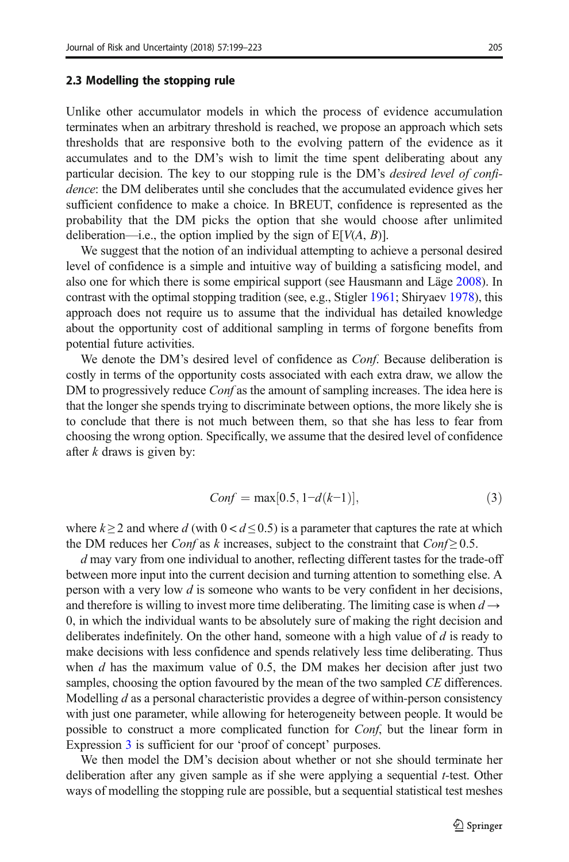#### <span id="page-6-0"></span>2.3 Modelling the stopping rule

Unlike other accumulator models in which the process of evidence accumulation terminates when an arbitrary threshold is reached, we propose an approach which sets thresholds that are responsive both to the evolving pattern of the evidence as it accumulates and to the DM's wish to limit the time spent deliberating about any particular decision. The key to our stopping rule is the DM's desired level of confidence: the DM deliberates until she concludes that the accumulated evidence gives her sufficient confidence to make a choice. In BREUT, confidence is represented as the probability that the DM picks the option that she would choose after unlimited deliberation—i.e., the option implied by the sign of  $E[V(A, B)]$ .

We suggest that the notion of an individual attempting to achieve a personal desired level of confidence is a simple and intuitive way of building a satisficing model, and also one for which there is some empirical support (see Hausmann and Läge [2008](#page-22-0)). In contrast with the optimal stopping tradition (see, e.g., Stigler [1961;](#page-24-0) Shiryaev [1978\)](#page-23-0), this approach does not require us to assume that the individual has detailed knowledge about the opportunity cost of additional sampling in terms of forgone benefits from potential future activities.

We denote the DM's desired level of confidence as *Conf*. Because deliberation is costly in terms of the opportunity costs associated with each extra draw, we allow the DM to progressively reduce *Conf* as the amount of sampling increases. The idea here is that the longer she spends trying to discriminate between options, the more likely she is to conclude that there is not much between them, so that she has less to fear from choosing the wrong option. Specifically, we assume that the desired level of confidence after  $k$  draws is given by:

$$
Conf = \max[0.5, 1 - d(k-1)],
$$
\n(3)

where  $k \ge 2$  and where d (with  $0 < d \le 0.5$ ) is a parameter that captures the rate at which the DM reduces her Conf as k increases, subject to the constraint that  $Conf \geq 0.5$ .

d may vary from one individual to another, reflecting different tastes for the trade-off between more input into the current decision and turning attention to something else. A person with a very low  $d$  is someone who wants to be very confident in her decisions, and therefore is willing to invest more time deliberating. The limiting case is when  $d \rightarrow$ 0, in which the individual wants to be absolutely sure of making the right decision and deliberates indefinitely. On the other hand, someone with a high value of  $d$  is ready to make decisions with less confidence and spends relatively less time deliberating. Thus when  $d$  has the maximum value of 0.5, the DM makes her decision after just two samples, choosing the option favoured by the mean of the two sampled *CE* differences. Modelling  $d$  as a personal characteristic provides a degree of within-person consistency with just one parameter, while allowing for heterogeneity between people. It would be possible to construct a more complicated function for Conf, but the linear form in Expression 3 is sufficient for our 'proof of concept' purposes.

We then model the DM's decision about whether or not she should terminate her deliberation after any given sample as if she were applying a sequential t-test. Other ways of modelling the stopping rule are possible, but a sequential statistical test meshes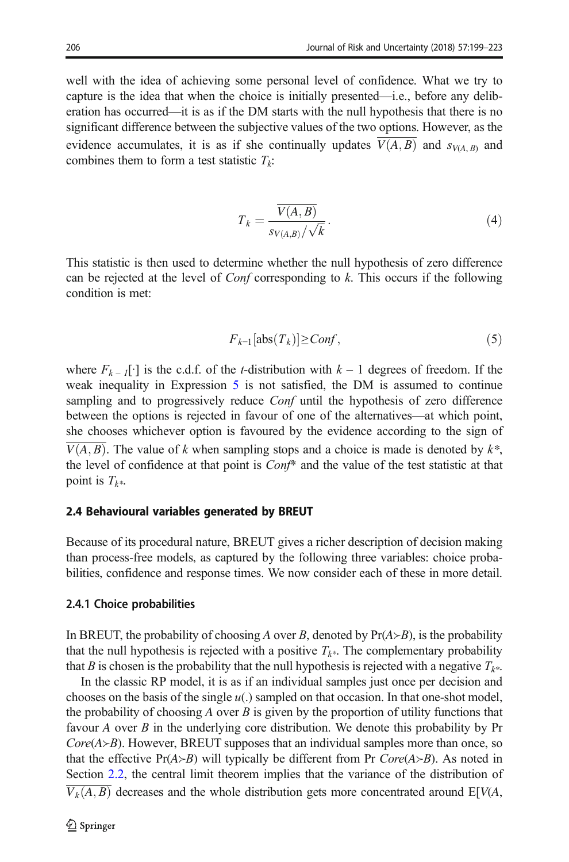<span id="page-7-0"></span>well with the idea of achieving some personal level of confidence. What we try to capture is the idea that when the choice is initially presented—i.e., before any deliberation has occurred—it is as if the DM starts with the null hypothesis that there is no significant difference between the subjective values of the two options. However, as the evidence accumulates, it is as if she continually updates  $V(A, B)$  and  $S_{V(A, B)}$  and combines them to form a test statistic  $T_k$ :

$$
T_k = \frac{\overline{V(A,B)}}{s_{V(A,B)}/\sqrt{k}}.\tag{4}
$$

This statistic is then used to determine whether the null hypothesis of zero difference can be rejected at the level of  $Conf$  corresponding to k. This occurs if the following condition is met:

$$
F_{k-1}[\text{abs}(T_k)] \geq Conf,
$$
\n(5)

where  $F_{k-1}[\cdot]$  is the c.d.f. of the *t*-distribution with  $k-1$  degrees of freedom. If the weak inequality in Expression 5 is not satisfied, the DM is assumed to continue sampling and to progressively reduce *Conf* until the hypothesis of zero difference between the options is rejected in favour of one of the alternatives—at which point, she chooses whichever option is favoured by the evidence according to the sign of  $V(A, B)$ . The value of k when sampling stops and a choice is made is denoted by  $k^*$ , the level of confidence at that point is Conf\* and the value of the test statistic at that point is  $T_{k^*}$ .

#### 2.4 Behavioural variables generated by BREUT

Because of its procedural nature, BREUT gives a richer description of decision making than process-free models, as captured by the following three variables: choice probabilities, confidence and response times. We now consider each of these in more detail.

#### 2.4.1 Choice probabilities

In BREUT, the probability of choosing A over B, denoted by  $Pr(A \ge B)$ , is the probability that the null hypothesis is rejected with a positive  $T_{k^*}$ . The complementary probability that B is chosen is the probability that the null hypothesis is rejected with a negative  $T_{k^*}$ .

In the classic RP model, it is as if an individual samples just once per decision and chooses on the basis of the single  $u(.)$  sampled on that occasion. In that one-shot model, the probability of choosing A over B is given by the proportion of utility functions that favour A over B in the underlying core distribution. We denote this probability by Pr  $Core(A \geq B)$ . However, BREUT supposes that an individual samples more than once, so that the effective  $Pr(A \geq B)$  will typically be different from Pr Core(A $\geq B$ ). As noted in Section [2.2,](#page-5-0) the central limit theorem implies that the variance of the distribution of  $V_k(A, B)$  decreases and the whole distribution gets more concentrated around  $E[V(A, B)]$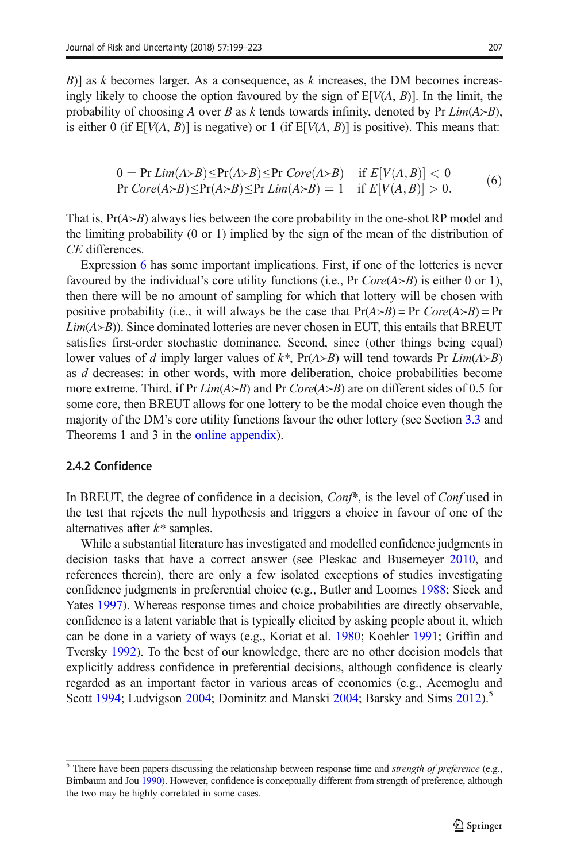<span id="page-8-0"></span> $B$ ] as k becomes larger. As a consequence, as k increases, the DM becomes increasingly likely to choose the option favoured by the sign of  $E[V(A, B)]$ . In the limit, the probability of choosing A over B as k tends towards infinity, denoted by Pr  $Lim(A \rightarrow B)$ , is either 0 (if  $E[V(A, B)]$  is negative) or 1 (if  $E[V(A, B)]$  is positive). This means that:

$$
0 = \Pr \text{Lim}(A \succ B) \le \Pr(A \succ B) \le \Pr \text{Core}(A \succ B) \quad \text{if } E[V(A, B)] < 0
$$
\n
$$
\Pr \text{Core}(A \succ B) \le \Pr(A \succ B) \le \Pr \text{Lim}(A \succ B) = 1 \quad \text{if } E[V(A, B)] > 0. \tag{6}
$$

That is,  $Pr(A \ge B)$  always lies between the core probability in the one-shot RP model and the limiting probability (0 or 1) implied by the sign of the mean of the distribution of CE differences.

Expression 6 has some important implications. First, if one of the lotteries is never favoured by the individual's core utility functions (i.e., Pr  $Core(A \gt B)$  is either 0 or 1), then there will be no amount of sampling for which that lottery will be chosen with positive probability (i.e., it will always be the case that  $Pr(A \ge B) = Pr$   $Core(A \ge B) = Pr$  $Lim(A \rightarrow B)$ ). Since dominated lotteries are never chosen in EUT, this entails that BREUT satisfies first-order stochastic dominance. Second, since (other things being equal) lower values of d imply larger values of  $k^*$ , Pr(A $\geq B$ ) will tend towards Pr Lim(A $\geq B$ ) as d decreases: in other words, with more deliberation, choice probabilities become more extreme. Third, if Pr  $Lim(A \rightarrow B)$  and Pr  $Core(A \rightarrow B)$  are on different sides of 0.5 for some core, then BREUT allows for one lottery to be the modal choice even though the majority of the DM's core utility functions favour the other lottery (see Section [3.3](#page-12-0) and Theorems 1 and 3 in the online appendix).

## 2.4.2 Confidence

In BREUT, the degree of confidence in a decision,  $Conf^*$ , is the level of Conf used in the test that rejects the null hypothesis and triggers a choice in favour of one of the alternatives after  $k^*$  samples.

While a substantial literature has investigated and modelled confidence judgments in decision tasks that have a correct answer (see Pleskac and Busemeyer [2010](#page-23-0), and references therein), there are only a few isolated exceptions of studies investigating confidence judgments in preferential choice (e.g., Butler and Loomes [1988](#page-22-0); Sieck and Yates [1997\)](#page-23-0). Whereas response times and choice probabilities are directly observable, confidence is a latent variable that is typically elicited by asking people about it, which can be done in a variety of ways (e.g., Koriat et al. [1980;](#page-23-0) Koehler [1991;](#page-23-0) Griffin and Tversky [1992](#page-22-0)). To the best of our knowledge, there are no other decision models that explicitly address confidence in preferential decisions, although confidence is clearly regarded as an important factor in various areas of economics (e.g., Acemoglu and Scott [1994](#page-21-0); Ludvigson  $2004$ ; Dominitz and Manski  $2004$ ; Barsky and Sims  $2012$ ).<sup>5</sup>

 $5$  There have been papers discussing the relationship between response time and strength of preference (e.g., Birnbaum and Jou [1990\)](#page-22-0). However, confidence is conceptually different from strength of preference, although the two may be highly correlated in some cases.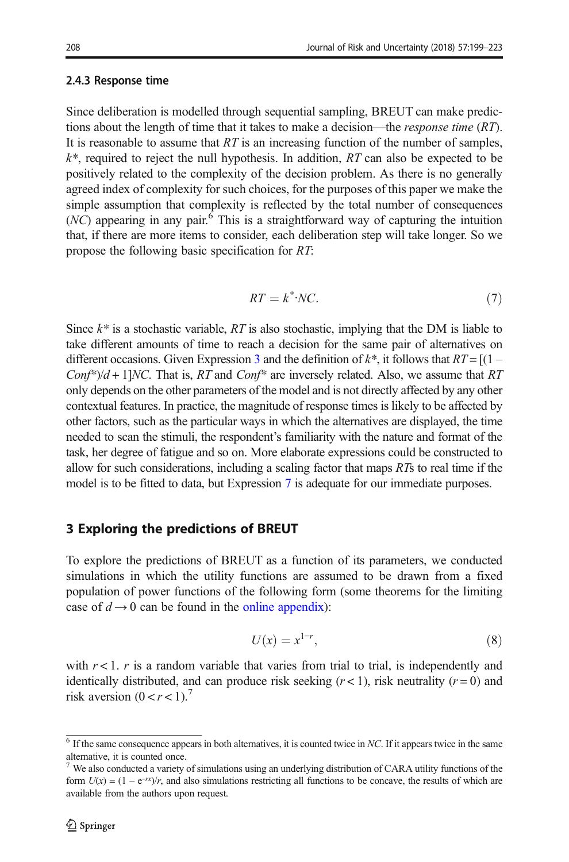### <span id="page-9-0"></span>2.4.3 Response time

Since deliberation is modelled through sequential sampling, BREUT can make predictions about the length of time that it takes to make a decision—the *response time*  $(RT)$ . It is reasonable to assume that  $RT$  is an increasing function of the number of samples.  $k^*$ , required to reject the null hypothesis. In addition, RT can also be expected to be positively related to the complexity of the decision problem. As there is no generally agreed index of complexity for such choices, for the purposes of this paper we make the simple assumption that complexity is reflected by the total number of consequences  $(NC)$  appearing in any pair.<sup>6</sup> This is a straightforward way of capturing the intuition that, if there are more items to consider, each deliberation step will take longer. So we propose the following basic specification for RT:

$$
RT = k^* \cdot NC. \tag{7}
$$

Since  $k^*$  is a stochastic variable, RT is also stochastic, implying that the DM is liable to take different amounts of time to reach a decision for the same pair of alternatives on different occasions. Given Expression [3](#page-6-0) and the definition of  $k^*$ , it follows that  $RT = [(1 Conf^*/d + 1$  | NC. That is, RT and Conf<sup>\*</sup> are inversely related. Also, we assume that RT only depends on the other parameters of the model and is not directly affected by any other contextual features. In practice, the magnitude of response times is likely to be affected by other factors, such as the particular ways in which the alternatives are displayed, the time needed to scan the stimuli, the respondent's familiarity with the nature and format of the task, her degree of fatigue and so on. More elaborate expressions could be constructed to allow for such considerations, including a scaling factor that maps  $RTs$  to real time if the model is to be fitted to data, but Expression 7 is adequate for our immediate purposes.

## 3 Exploring the predictions of BREUT

To explore the predictions of BREUT as a function of its parameters, we conducted simulations in which the utility functions are assumed to be drawn from a fixed population of power functions of the following form (some theorems for the limiting case of  $d \rightarrow 0$  can be found in the online appendix):

$$
U(x) = x^{1-r},\tag{8}
$$

with  $r < 1$ . r is a random variable that varies from trial to trial, is independently and identically distributed, and can produce risk seeking  $(r < 1)$ , risk neutrality  $(r = 0)$  and risk aversion  $(0 < r < 1)$ .<sup>7</sup>

 $6$  If the same consequence appears in both alternatives, it is counted twice in NC. If it appears twice in the same alternative, it is counted once.

 $7$  We also conducted a variety of simulations using an underlying distribution of CARA utility functions of the form  $U(x) = (1 - e^{-rx})/r$ , and also simulations restricting all functions to be concave, the results of which are available from the authors upon request.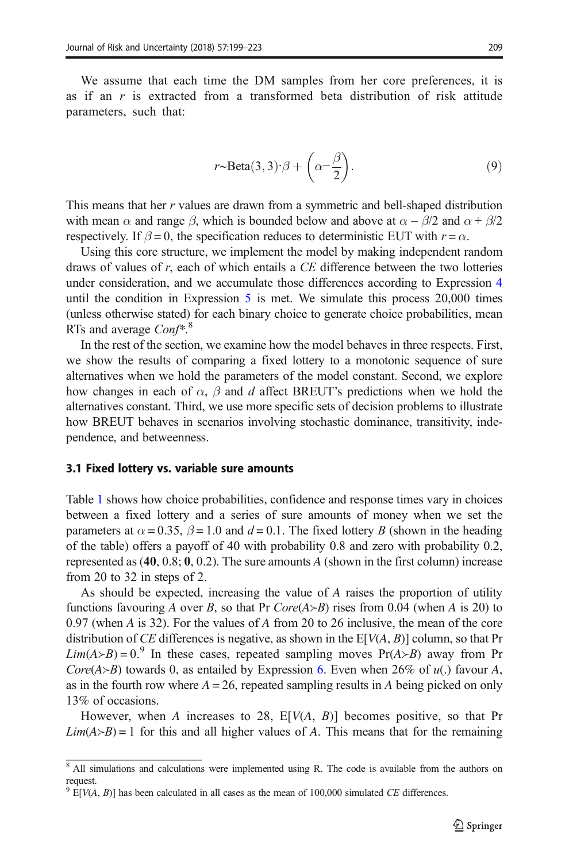We assume that each time the DM samples from her core preferences, it is as if an  $r$  is extracted from a transformed beta distribution of risk attitude parameters, such that:

$$
r \sim \text{Beta}(3,3) \cdot \beta + \left(\alpha - \frac{\beta}{2}\right). \tag{9}
$$

This means that her r values are drawn from a symmetric and bell-shaped distribution with mean  $\alpha$  and range  $\beta$ , which is bounded below and above at  $\alpha - \beta/2$  and  $\alpha + \beta/2$ respectively. If  $\beta = 0$ , the specification reduces to deterministic EUT with  $r = \alpha$ .

Using this core structure, we implement the model by making independent random draws of values of r, each of which entails a CE difference between the two lotteries under consideration, and we accumulate those differences according to Expression [4](#page-7-0) until the condition in Expression [5](#page-7-0) is met. We simulate this process 20,000 times (unless otherwise stated) for each binary choice to generate choice probabilities, mean RTs and average Conf<sup>\*</sup>.<sup>8</sup>

In the rest of the section, we examine how the model behaves in three respects. First, we show the results of comparing a fixed lottery to a monotonic sequence of sure alternatives when we hold the parameters of the model constant. Second, we explore how changes in each of  $\alpha$ ,  $\beta$  and d affect BREUT's predictions when we hold the alternatives constant. Third, we use more specific sets of decision problems to illustrate how BREUT behaves in scenarios involving stochastic dominance, transitivity, independence, and betweenness.

#### 3.1 Fixed lottery vs. variable sure amounts

Table [1](#page-11-0) shows how choice probabilities, confidence and response times vary in choices between a fixed lottery and a series of sure amounts of money when we set the parameters at  $\alpha = 0.35$ ,  $\beta = 1.0$  and  $d = 0.1$ . The fixed lottery B (shown in the heading of the table) offers a payoff of 40 with probability 0.8 and zero with probability 0.2, represented as  $(40, 0.8; 0, 0.2)$ . The sure amounts A (shown in the first column) increase from 20 to 32 in steps of 2.

As should be expected, increasing the value of A raises the proportion of utility functions favouring A over B, so that Pr  $Core(A \gt B)$  rises from 0.04 (when A is 20) to 0.97 (when A is 32). For the values of A from 20 to 26 inclusive, the mean of the core distribution of CE differences is negative, as shown in the  $E[V(A, B)]$  column, so that Pr  $Lim(A \rightarrow B) = 0$ .<sup>9</sup> In these cases, repeated sampling moves Pr(A $\rightarrow B$ ) away from Pr Core(A≻B) towards 0, as entailed by Expression [6.](#page-8-0) Even when 26% of  $u(.)$  favour A, as in the fourth row where  $A = 26$ , repeated sampling results in A being picked on only 13% of occasions.

However, when A increases to 28,  $E[V(A, B)]$  becomes positive, so that Pr  $Lim(A \geq B) = 1$  for this and all higher values of A. This means that for the remaining

 $8$  All simulations and calculations were implemented using R. The code is available from the authors on request.

 $9$  E[V(A, B)] has been calculated in all cases as the mean of 100,000 simulated CE differences.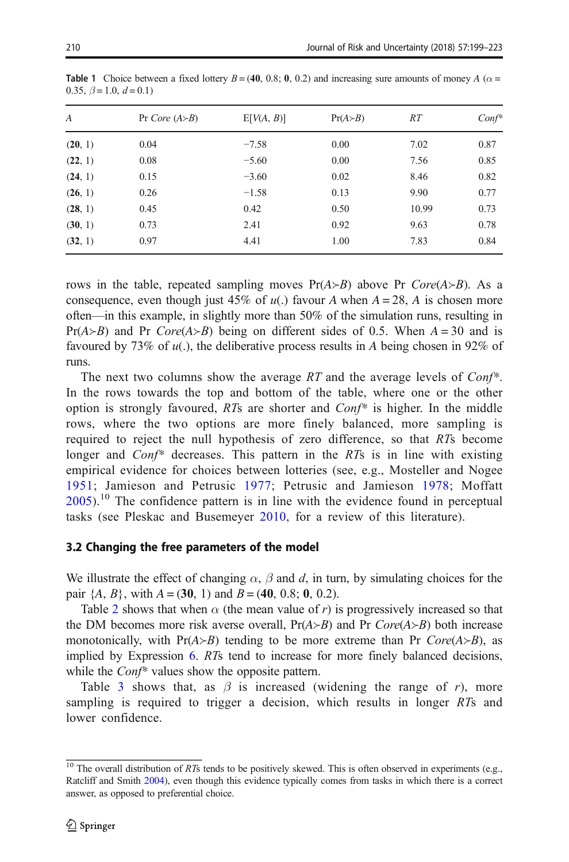| A       | Pr Core $(A \rightarrow B)$ | E[V(A, B)] | $Pr(A \geq B)$ | RT    | $Conf^*$ |
|---------|-----------------------------|------------|----------------|-------|----------|
| (20, 1) | 0.04                        | $-7.58$    | 0.00           | 7.02  | 0.87     |
| (22, 1) | 0.08                        | $-5.60$    | 0.00           | 7.56  | 0.85     |
| (24, 1) | 0.15                        | $-3.60$    | 0.02           | 8.46  | 0.82     |
| (26, 1) | 0.26                        | $-1.58$    | 0.13           | 9.90  | 0.77     |
| (28, 1) | 0.45                        | 0.42       | 0.50           | 10.99 | 0.73     |
| (30, 1) | 0.73                        | 2.41       | 0.92           | 9.63  | 0.78     |
| (32, 1) | 0.97                        | 4.41       | 1.00           | 7.83  | 0.84     |
|         |                             |            |                |       |          |

<span id="page-11-0"></span>**Table 1** Choice between a fixed lottery  $B = (40, 0.8; 0, 0.2)$  and increasing sure amounts of money A ( $\alpha =$ 0.35,  $\beta = 1.0$ ,  $d = 0.1$ )

rows in the table, repeated sampling moves  $Pr(A \ge B)$  above Pr Core(A $\ge B$ ). As a consequence, even though just 45% of  $u(.)$  favour A when  $A = 28$ , A is chosen more often—in this example, in slightly more than 50% of the simulation runs, resulting in  $Pr(A \geq B)$  and Pr Core(A $\geq B$ ) being on different sides of 0.5. When A = 30 and is favoured by 73% of  $u(.)$ , the deliberative process results in A being chosen in 92% of runs.

The next two columns show the average RT and the average levels of  $Conf^*$ . In the rows towards the top and bottom of the table, where one or the other option is strongly favoured,  $RTs$  are shorter and  $Conf^*$  is higher. In the middle rows, where the two options are more finely balanced, more sampling is required to reject the null hypothesis of zero difference, so that RTs become longer and  $Conf^*$  decreases. This pattern in the RTs is in line with existing empirical evidence for choices between lotteries (see, e.g., Mosteller and Nogee [1951](#page-23-0); Jamieson and Petrusic [1977;](#page-22-0) Petrusic and Jamieson [1978](#page-23-0); Moffatt  $2005$ ).<sup>10</sup> The confidence pattern is in line with the evidence found in perceptual tasks (see Pleskac and Busemeyer [2010](#page-23-0), for a review of this literature).

#### 3.2 Changing the free parameters of the model

We illustrate the effect of changing  $\alpha$ ,  $\beta$  and d, in turn, by simulating choices for the pair  $\{A, B\}$ , with  $A = (30, 1)$  and  $B = (40, 0.8; 0, 0.2)$ .

Table [2](#page-12-0) shows that when  $\alpha$  (the mean value of r) is progressively increased so that the DM becomes more risk averse overall,  $Pr(A \ge B)$  and Pr Core(A $\ge B$ ) both increase monotonically, with Pr(A≻B) tending to be more extreme than Pr  $Core(A \succ B)$ , as implied by Expression [6](#page-8-0). RTs tend to increase for more finely balanced decisions, while the *Conf<sup>\*</sup>* values show the opposite pattern.

Table [3](#page-12-0) shows that, as  $\beta$  is increased (widening the range of r), more sampling is required to trigger a decision, which results in longer RTs and lower confidence.

 $\frac{10}{10}$  The overall distribution of RTs tends to be positively skewed. This is often observed in experiments (e.g., Ratcliff and Smith [2004\)](#page-23-0), even though this evidence typically comes from tasks in which there is a correct answer, as opposed to preferential choice.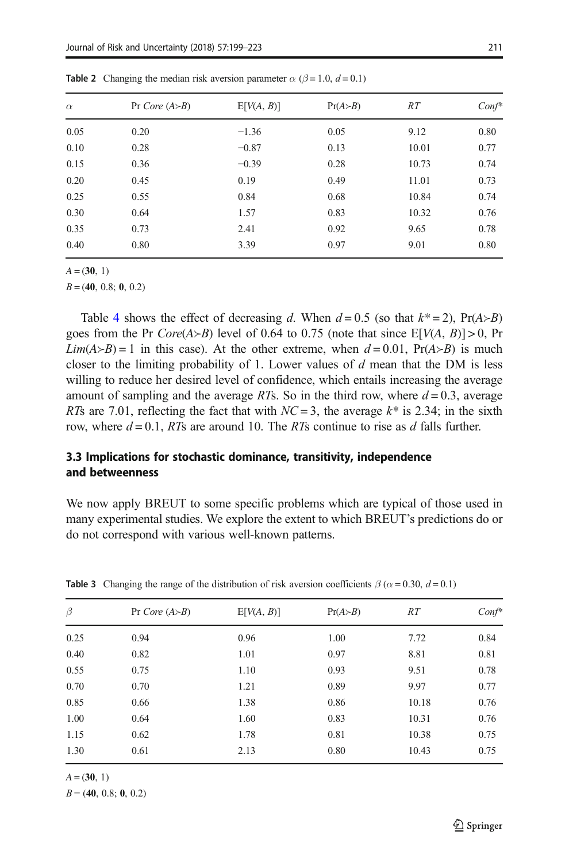| $\alpha$ | Pr Core $(A \rightarrow B)$ | E[V(A, B)] | $Pr(A \geq B)$ | RT    | $Conf^*$ |
|----------|-----------------------------|------------|----------------|-------|----------|
| 0.05     | 0.20                        | $-1.36$    | 0.05           | 9.12  | 0.80     |
| 0.10     | 0.28                        | $-0.87$    | 0.13           | 10.01 | 0.77     |
| 0.15     | 0.36                        | $-0.39$    | 0.28           | 10.73 | 0.74     |
| 0.20     | 0.45                        | 0.19       | 0.49           | 11.01 | 0.73     |
| 0.25     | 0.55                        | 0.84       | 0.68           | 10.84 | 0.74     |
| 0.30     | 0.64                        | 1.57       | 0.83           | 10.32 | 0.76     |
| 0.35     | 0.73                        | 2.41       | 0.92           | 9.65  | 0.78     |
| 0.40     | 0.80                        | 3.39       | 0.97           | 9.01  | 0.80     |
|          |                             |            |                |       |          |

<span id="page-12-0"></span>**Table 2** Changing the median risk aversion parameter  $\alpha$  ( $\beta$  = 1.0,  $d$  = 0.1)

 $A = (30, 1)$ 

 $B = (40, 0.8; 0, 0.2)$ 

Table [4](#page-13-0) shows the effect of decreasing d. When  $d = 0.5$  (so that  $k^* = 2$ ), Pr(A≻B) goes from the Pr  $Core(A \rightarrow B)$  level of 0.64 to 0.75 (note that since E[V(A, B)] > 0, Pr  $Lim(A \geq B) = 1$  in this case). At the other extreme, when  $d = 0.01$ , Pr(A $\geq B$ ) is much closer to the limiting probability of 1. Lower values of  $d$  mean that the DM is less willing to reduce her desired level of confidence, which entails increasing the average amount of sampling and the average RTs. So in the third row, where  $d = 0.3$ , average RTs are 7.01, reflecting the fact that with  $NC = 3$ , the average  $k^*$  is 2.34; in the sixth row, where  $d = 0.1$ , RTs are around 10. The RTs continue to rise as d falls further.

## 3.3 Implications for stochastic dominance, transitivity, independence and betweenness

We now apply BREUT to some specific problems which are typical of those used in many experimental studies. We explore the extent to which BREUT's predictions do or do not correspond with various well-known patterns.

| $\beta$ | Pr Core $(A \rightarrow B)$ | E[V(A, B)] | $Pr(A \geq B)$ | RT    | $Conf^*$ |
|---------|-----------------------------|------------|----------------|-------|----------|
| 0.25    | 0.94                        | 0.96       | 1.00           | 7.72  | 0.84     |
| 0.40    | 0.82                        | 1.01       | 0.97           | 8.81  | 0.81     |
| 0.55    | 0.75                        | 1.10       | 0.93           | 9.51  | 0.78     |
| 0.70    | 0.70                        | 1.21       | 0.89           | 9.97  | 0.77     |
| 0.85    | 0.66                        | 1.38       | 0.86           | 10.18 | 0.76     |
| 1.00    | 0.64                        | 1.60       | 0.83           | 10.31 | 0.76     |
| 1.15    | 0.62                        | 1.78       | 0.81           | 10.38 | 0.75     |
| 1.30    | 0.61                        | 2.13       | 0.80           | 10.43 | 0.75     |

Table 3 Changing the range of the distribution of risk aversion coefficients  $\beta$  ( $\alpha$  = 0.30, d = 0.1)

 $A = (30, 1)$ 

 $B = (40, 0.8; 0, 0.2)$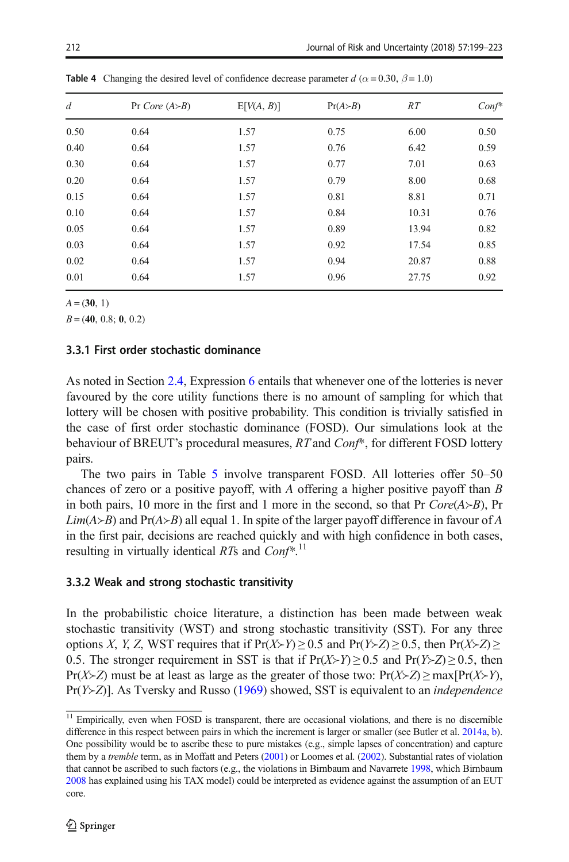| $\overline{d}$ | Pr Core $(A \rightarrow B)$ | E[V(A, B)] | $Pr(A \geq B)$ | RT    | $Conf^*$ |
|----------------|-----------------------------|------------|----------------|-------|----------|
| 0.50           | 0.64                        | 1.57       | 0.75           | 6.00  | 0.50     |
| 0.40           | 0.64                        | 1.57       | 0.76           | 6.42  | 0.59     |
| 0.30           | 0.64                        | 1.57       | 0.77           | 7.01  | 0.63     |
| 0.20           | 0.64                        | 1.57       | 0.79           | 8.00  | 0.68     |
| 0.15           | 0.64                        | 1.57       | 0.81           | 8.81  | 0.71     |
| 0.10           | 0.64                        | 1.57       | 0.84           | 10.31 | 0.76     |
| 0.05           | 0.64                        | 1.57       | 0.89           | 13.94 | 0.82     |
| 0.03           | 0.64                        | 1.57       | 0.92           | 17.54 | 0.85     |
| 0.02           | 0.64                        | 1.57       | 0.94           | 20.87 | 0.88     |
| 0.01           | 0.64                        | 1.57       | 0.96           | 27.75 | 0.92     |

<span id="page-13-0"></span>**Table 4** Changing the desired level of confidence decrease parameter d ( $\alpha$  = 0.30,  $\beta$  = 1.0)

 $A = (30, 1)$ 

 $B = (40, 0.8; 0, 0.2)$ 

## 3.3.1 First order stochastic dominance

As noted in Section [2.4,](#page-7-0) Expression [6](#page-8-0) entails that whenever one of the lotteries is never favoured by the core utility functions there is no amount of sampling for which that lottery will be chosen with positive probability. This condition is trivially satisfied in the case of first order stochastic dominance (FOSD). Our simulations look at the behaviour of BREUT's procedural measures, RT and Conf<sup>\*</sup>, for different FOSD lottery pairs.

The two pairs in Table [5](#page-14-0) involve transparent FOSD. All lotteries offer 50–50 chances of zero or a positive payoff, with A offering a higher positive payoff than  $B$ in both pairs, 10 more in the first and 1 more in the second, so that Pr  $Core(A \rightarrow B)$ , Pr *Lim*( $A \rightarrow B$ ) and Pr( $A \rightarrow B$ ) all equal 1. In spite of the larger payoff difference in favour of A in the first pair, decisions are reached quickly and with high confidence in both cases, resulting in virtually identical RTs and  $Conf^{*,11}$ 

## 3.3.2 Weak and strong stochastic transitivity

In the probabilistic choice literature, a distinction has been made between weak stochastic transitivity (WST) and strong stochastic transitivity (SST). For any three options X, Y, Z, WST requires that if  $Pr(X \ge Y) \ge 0.5$  and  $Pr(Y \ge Z) \ge 0.5$ , then  $Pr(X \ge Z) \ge 0.5$ 0.5. The stronger requirement in SST is that if  $Pr(X \ge Y) \ge 0.5$  and  $Pr(Y \ge Z) \ge 0.5$ , then Pr(X≻Z) must be at least as large as the greater of those two:  $Pr(X \ge Z) \ge max[Pr(X \ge Y),$  $Pr(Y \ge Z)$ ]. As Tversky and Russo ([1969](#page-24-0)) showed, SST is equivalent to an *independence* 

<sup>&</sup>lt;sup>11</sup> Empirically, even when FOSD is transparent, there are occasional violations, and there is no discernible difference in this respect between pairs in which the increment is larger or smaller (see Butler et al. [2014a](#page-22-0), [b\)](#page-22-0). One possibility would be to ascribe these to pure mistakes (e.g., simple lapses of concentration) and capture them by a tremble term, as in Moffatt and Peters [\(2001\)](#page-23-0) or Loomes et al. ([2002](#page-23-0)). Substantial rates of violation that cannot be ascribed to such factors (e.g., the violations in Birnbaum and Navarrete [1998,](#page-22-0) which Birnbaum [2008](#page-22-0) has explained using his TAX model) could be interpreted as evidence against the assumption of an EUT core.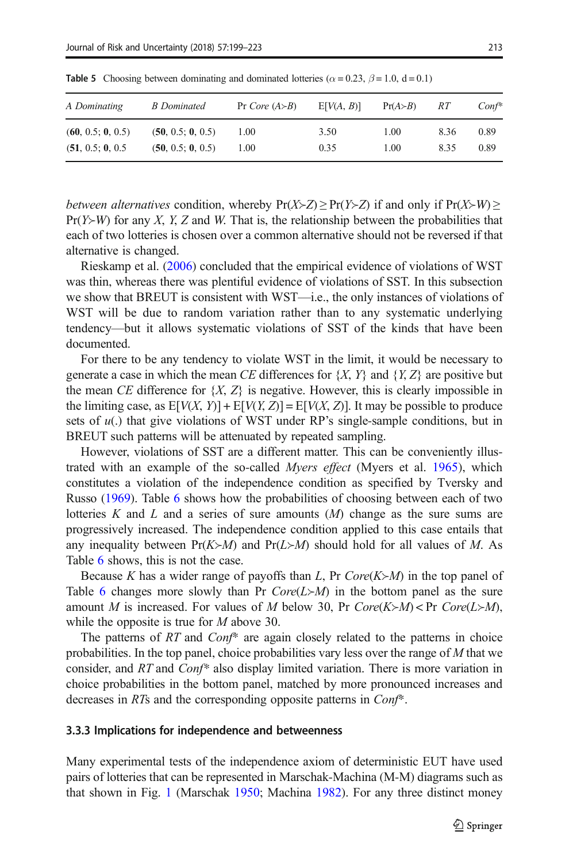| A Dominating      | <b>B</b> Dominated | Pr Core $(A \rightarrow B)$ | E[V(A, B)] | $Pr(A \geq B)$ | RT   | $Conf^*$ |
|-------------------|--------------------|-----------------------------|------------|----------------|------|----------|
| (60, 0.5; 0, 0.5) | (50, 0.5; 0, 0.5)  | 1.00                        | 3.50       | 1.00           | 8.36 | 0.89     |
| (51, 0.5; 0, 0.5) | (50, 0.5; 0, 0.5)  | 1.00                        | 0.35       | 1.00           | 8.35 | 0.89     |

<span id="page-14-0"></span>**Table 5** Choosing between dominating and dominated lotteries ( $\alpha = 0.23$ ,  $\beta = 1.0$ , d = 0.1)

between alternatives condition, whereby  $Pr(X \geq Z) \geq Pr(Y \geq Z)$  if and only if  $Pr(X \geq W) \geq$  $Pr(Y > W)$  for any X, Y, Z and W. That is, the relationship between the probabilities that each of two lotteries is chosen over a common alternative should not be reversed if that alternative is changed.

Rieskamp et al. [\(2006](#page-23-0)) concluded that the empirical evidence of violations of WST was thin, whereas there was plentiful evidence of violations of SST. In this subsection we show that BREUT is consistent with WST—i.e., the only instances of violations of WST will be due to random variation rather than to any systematic underlying tendency—but it allows systematic violations of SST of the kinds that have been documented.

For there to be any tendency to violate WST in the limit, it would be necessary to generate a case in which the mean CE differences for  $\{X, Y\}$  and  $\{Y, Z\}$  are positive but the mean CE difference for  $\{X, Z\}$  is negative. However, this is clearly impossible in the limiting case, as  $E[V(X, Y)] + E[V(Y, Z)] = E[V(X, Z)]$ . It may be possible to produce sets of  $u(.)$  that give violations of WST under RP's single-sample conditions, but in BREUT such patterns will be attenuated by repeated sampling.

However, violations of SST are a different matter. This can be conveniently illus-trated with an example of the so-called Myers effect (Myers et al. [1965\)](#page-23-0), which constitutes a violation of the independence condition as specified by Tversky and Russo [\(1969\)](#page-24-0). Table [6](#page-15-0) shows how the probabilities of choosing between each of two lotteries K and L and a series of sure amounts  $(M)$  change as the sure sums are progressively increased. The independence condition applied to this case entails that any inequality between  $Pr(K > M)$  and  $Pr(L > M)$  should hold for all values of M. As Table [6](#page-15-0) shows, this is not the case.

Because K has a wider range of payoffs than L, Pr  $Core(K>M)$  in the top panel of Table [6](#page-15-0) changes more slowly than Pr  $Core(L\succ M)$  in the bottom panel as the sure amount M is increased. For values of M below 30, Pr  $Core(K\geq M)$ ,  $\forall$ Pr  $Core(L\geq M)$ , while the opposite is true for *M* above 30.

The patterns of RT and  $Conf^*$  are again closely related to the patterns in choice probabilities. In the top panel, choice probabilities vary less over the range of  $M$  that we consider, and RT and Conf<sup>\*</sup> also display limited variation. There is more variation in choice probabilities in the bottom panel, matched by more pronounced increases and decreases in RTs and the corresponding opposite patterns in Conf\*.

## 3.3.3 Implications for independence and betweenness

Many experimental tests of the independence axiom of deterministic EUT have used pairs of lotteries that can be represented in Marschak-Machina (M-M) diagrams such as that shown in Fig. [1](#page-16-0) (Marschak [1950;](#page-23-0) Machina [1982\)](#page-23-0). For any three distinct money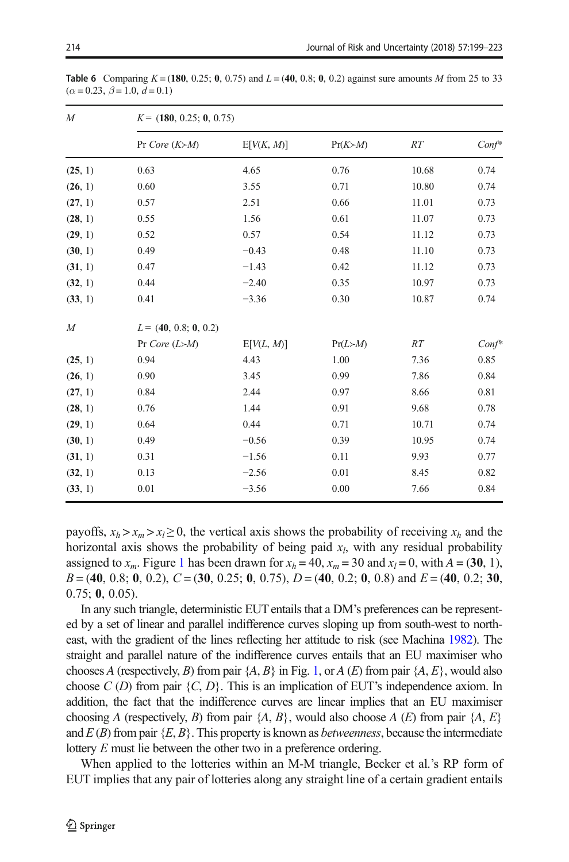| $\boldsymbol{M}$ | $K = (180, 0.25; 0, 0.75)$ |            |           |       |          |  |  |  |
|------------------|----------------------------|------------|-----------|-------|----------|--|--|--|
|                  | Pr Core $(K > M)$          | E[V(K, M)] | Pr(K > M) | RT    | $Conf^*$ |  |  |  |
| (25, 1)          | 0.63                       | 4.65       | 0.76      | 10.68 | 0.74     |  |  |  |
| (26, 1)          | 0.60                       | 3.55       | 0.71      | 10.80 | 0.74     |  |  |  |
| (27, 1)          | 0.57                       | 2.51       | 0.66      | 11.01 | 0.73     |  |  |  |
| (28, 1)          | 0.55                       | 1.56       | 0.61      | 11.07 | 0.73     |  |  |  |
| (29, 1)          | 0.52                       | 0.57       | 0.54      | 11.12 | 0.73     |  |  |  |
| (30, 1)          | 0.49                       | $-0.43$    | 0.48      | 11.10 | 0.73     |  |  |  |
| (31, 1)          | 0.47                       | $-1.43$    | 0.42      | 11.12 | 0.73     |  |  |  |
| (32, 1)          | 0.44                       | $-2.40$    | 0.35      | 10.97 | 0.73     |  |  |  |
| (33, 1)          | 0.41                       | $-3.36$    | 0.30      | 10.87 | 0.74     |  |  |  |
| $\boldsymbol{M}$ | $L = (40, 0.8; 0, 0.2)$    |            |           |       |          |  |  |  |
|                  | Pr Core $(L>M)$            | E[V(L, M)] | Pr(L > M) | RT    | $Conf^*$ |  |  |  |
| (25, 1)          | 0.94                       | 4.43       | 1.00      | 7.36  | 0.85     |  |  |  |
| (26, 1)          | 0.90                       | 3.45       | 0.99      | 7.86  | 0.84     |  |  |  |
| (27, 1)          | 0.84                       | 2.44       | 0.97      | 8.66  | 0.81     |  |  |  |
| (28, 1)          | 0.76                       | 1.44       | 0.91      | 9.68  | 0.78     |  |  |  |
| (29, 1)          | 0.64                       | 0.44       | 0.71      | 10.71 | 0.74     |  |  |  |
| (30, 1)          | 0.49                       | $-0.56$    | 0.39      | 10.95 | 0.74     |  |  |  |
| (31, 1)          | 0.31                       | $-1.56$    | 0.11      | 9.93  | 0.77     |  |  |  |
| (32, 1)          | 0.13                       | $-2.56$    | 0.01      | 8.45  | 0.82     |  |  |  |
| (33, 1)          | 0.01                       | $-3.56$    | 0.00      | 7.66  | 0.84     |  |  |  |

<span id="page-15-0"></span>**Table 6** Comparing  $K = (180, 0.25; 0, 0.75)$  and  $L = (40, 0.8; 0, 0.2)$  against sure amounts M from 25 to 33  $(\alpha = 0.23, \beta = 1.0, d = 0.1)$ 

payoffs,  $x_h > x_m > x_l \ge 0$ , the vertical axis shows the probability of receiving  $x_h$  and the horizontal axis shows the probability of being paid  $x_i$ , with any residual probability assigned to  $x_m$ . Figure [1](#page-16-0) has been drawn for  $x_h = 40$ ,  $x_m = 30$  and  $x_l = 0$ , with  $A = (30, 1)$ ,  $B = (40, 0.8; 0, 0.2), C = (30, 0.25; 0, 0.75), D = (40, 0.2; 0, 0.8)$  and  $E = (40, 0.2; 30,$  $0.75$ ; 0, 0.05).

In any such triangle, deterministic EUT entails that a DM's preferences can be represented by a set of linear and parallel indifference curves sloping up from south-west to northeast, with the gradient of the lines reflecting her attitude to risk (see Machina [1982](#page-23-0)). The straight and parallel nature of the indifference curves entails that an EU maximiser who chooses A (respectively, B) from pair  $\{A, B\}$  in Fig. [1](#page-16-0), or A (E) from pair  $\{A, E\}$ , would also choose  $C(D)$  from pair  $\{C, D\}$ . This is an implication of EUT's independence axiom. In addition, the fact that the indifference curves are linear implies that an EU maximiser choosing A (respectively, B) from pair  $\{A, B\}$ , would also choose A (E) from pair  $\{A, E\}$ and  $E(B)$  from pair  $\{E, B\}$ . This property is known as *betweenness*, because the intermediate lottery E must lie between the other two in a preference ordering.

When applied to the lotteries within an M-M triangle, Becker et al.'s RP form of EUT implies that any pair of lotteries along any straight line of a certain gradient entails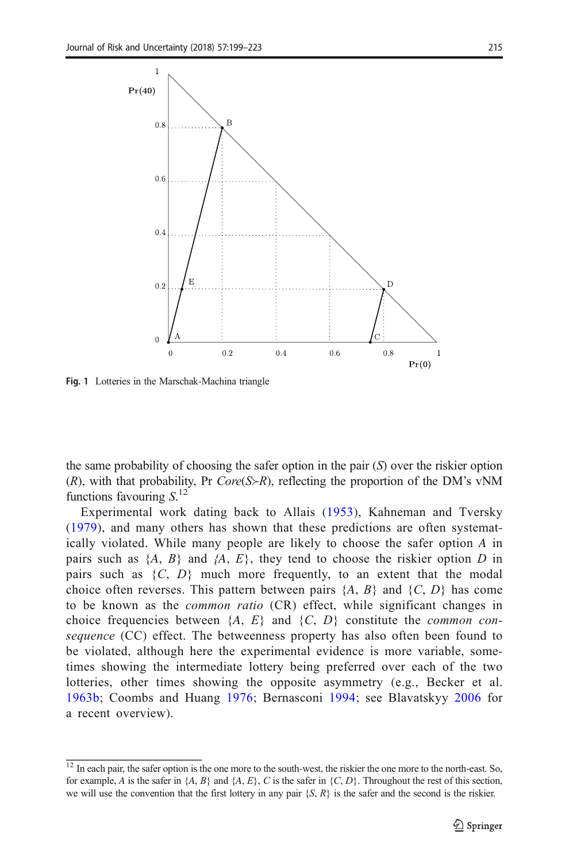<span id="page-16-0"></span>

Fig. 1 Lotteries in the Marschak-Machina triangle

the same probability of choosing the safer option in the pair  $(S)$  over the riskier option (R), with that probability, Pr  $Core(S \succ R)$ , reflecting the proportion of the DM's vNM functions favouring S.<sup>12</sup>

Experimental work dating back to Allais [\(1953](#page-21-0)), Kahneman and Tversky [\(1979](#page-22-0)), and many others has shown that these predictions are often systematically violated. While many people are likely to choose the safer option A in pairs such as  $\{A, B\}$  and  $\{A, E\}$ , they tend to choose the riskier option D in pairs such as  $\{C, D\}$  much more frequently, to an extent that the modal choice often reverses. This pattern between pairs  $\{A, B\}$  and  $\{C, D\}$  has come to be known as the common ratio (CR) effect, while significant changes in choice frequencies between  $\{A, E\}$  and  $\{C, D\}$  constitute the *common con*sequence (CC) effect. The betweenness property has also often been found to be violated, although here the experimental evidence is more variable, sometimes showing the intermediate lottery being preferred over each of the two lotteries, other times showing the opposite asymmetry (e.g., Becker et al. [1963b;](#page-21-0) Coombs and Huang [1976;](#page-22-0) Bernasconi [1994;](#page-22-0) see Blavatskyy [2006](#page-22-0) for a recent overview).

 $\frac{12 \text{ In each pair, the safer option is the one more to the south-west, the riskier the one more to the north-east. So,}$ for example, A is the safer in  $\{A, B\}$  and  $\{A, E\}$ , C is the safer in  $\{C, D\}$ . Throughout the rest of this section, we will use the convention that the first lottery in any pair  $\{S, R\}$  is the safer and the second is the riskier.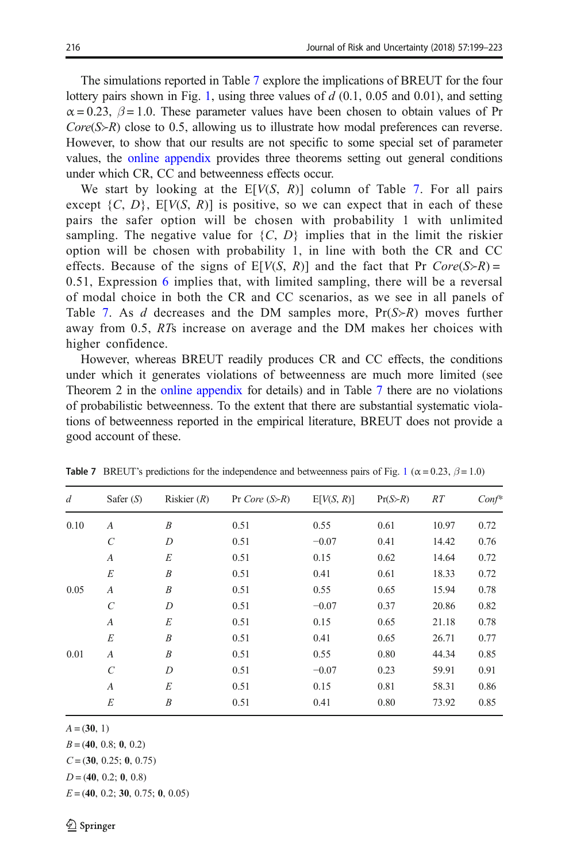The simulations reported in Table 7 explore the implications of BREUT for the four lottery pairs shown in Fig. [1](#page-16-0), using three values of  $d$  (0.1, 0.05 and 0.01), and setting  $\alpha$  = 0.23,  $\beta$  = 1.0. These parameter values have been chosen to obtain values of Pr  $Core(S \geq R)$  close to 0.5, allowing us to illustrate how modal preferences can reverse. However, to show that our results are not specific to some special set of parameter values, the online appendix provides three theorems setting out general conditions under which CR, CC and betweenness effects occur.

We start by looking at the  $E[V(S, R)]$  column of Table 7. For all pairs except  $\{C, D\}$ ,  $E[V(S, R)]$  is positive, so we can expect that in each of these pairs the safer option will be chosen with probability 1 with unlimited sampling. The negative value for  $\{C, D\}$  implies that in the limit the riskier option will be chosen with probability 1, in line with both the CR and CC effects. Because of the signs of  $E[V(S, R)]$  and the fact that Pr  $Core(S \succ R)$  = 0.51, Expression [6](#page-8-0) implies that, with limited sampling, there will be a reversal of modal choice in both the CR and CC scenarios, as we see in all panels of Table 7. As d decreases and the DM samples more,  $Pr(S \gt R)$  moves further away from 0.5, RTs increase on average and the DM makes her choices with higher confidence.

However, whereas BREUT readily produces CR and CC effects, the conditions under which it generates violations of betweenness are much more limited (see Theorem 2 in the online appendix for details) and in Table 7 there are no violations of probabilistic betweenness. To the extent that there are substantial systematic violations of betweenness reported in the empirical literature, BREUT does not provide a good account of these.

| $\overline{d}$ | Safer $(S)$      | Riskier $(R)$    | Pr Core $(S>R)$ | E[V(S, R)] | Pr(S > R) | RT    | $Conf^*$ |
|----------------|------------------|------------------|-----------------|------------|-----------|-------|----------|
| 0.10           | $\boldsymbol{A}$ | $\boldsymbol{B}$ | 0.51            | 0.55       | 0.61      | 10.97 | 0.72     |
|                | $\mathcal{C}$    | D                | 0.51            | $-0.07$    | 0.41      | 14.42 | 0.76     |
|                | $\boldsymbol{A}$ | E                | 0.51            | 0.15       | 0.62      | 14.64 | 0.72     |
|                | E                | $\boldsymbol{B}$ | 0.51            | 0.41       | 0.61      | 18.33 | 0.72     |
| 0.05           | $\boldsymbol{A}$ | $\cal B$         | 0.51            | 0.55       | 0.65      | 15.94 | 0.78     |
|                | $\mathcal{C}$    | D                | 0.51            | $-0.07$    | 0.37      | 20.86 | 0.82     |
|                | $\boldsymbol{A}$ | E                | 0.51            | 0.15       | 0.65      | 21.18 | 0.78     |
|                | E                | B                | 0.51            | 0.41       | 0.65      | 26.71 | 0.77     |
| 0.01           | $\boldsymbol{A}$ | $\boldsymbol{B}$ | 0.51            | 0.55       | 0.80      | 44.34 | 0.85     |
|                | $\mathcal{C}$    | $\overline{D}$   | 0.51            | $-0.07$    | 0.23      | 59.91 | 0.91     |
|                | A                | E                | 0.51            | 0.15       | 0.81      | 58.31 | 0.86     |
|                | E                | $\boldsymbol{B}$ | 0.51            | 0.41       | 0.80      | 73.92 | 0.85     |

**Table 7** BREUT's predictions for the independence and betweenness pairs of Fig. [1](#page-16-0) ( $\alpha$  = 0.23,  $\beta$  = 1.0)

 $A = (30, 1)$ 

 $B = (40, 0.8; 0, 0.2)$ 

 $C = (30, 0.25; 0, 0.75)$ 

 $D = (40, 0.2; 0, 0.8)$ 

 $E = (40, 0.2; 30, 0.75; 0, 0.05)$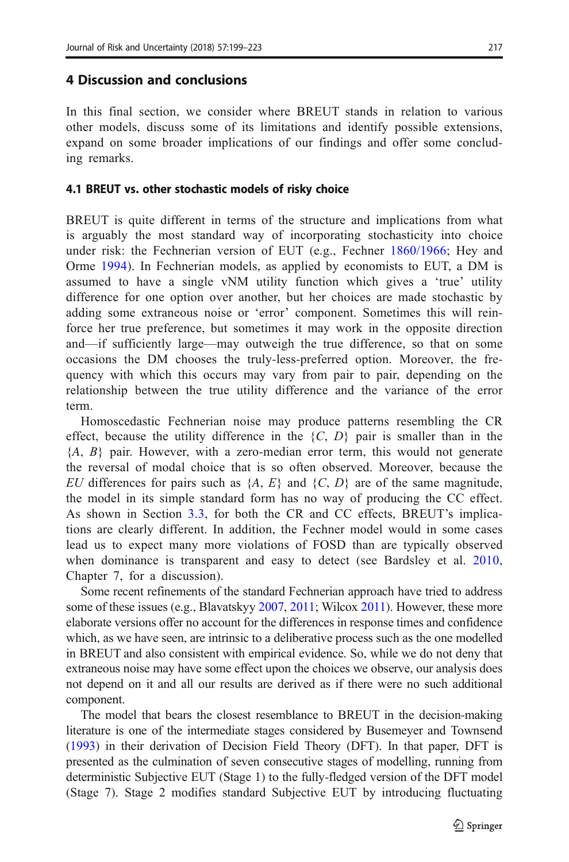## <span id="page-18-0"></span>4 Discussion and conclusions

In this final section, we consider where BREUT stands in relation to various other models, discuss some of its limitations and identify possible extensions, expand on some broader implications of our findings and offer some concluding remarks.

#### 4.1 BREUT vs. other stochastic models of risky choice

BREUT is quite different in terms of the structure and implications from what is arguably the most standard way of incorporating stochasticity into choice under risk: the Fechnerian version of EUT (e.g., Fechner [1860/1966;](#page-22-0) Hey and Orme [1994](#page-22-0)). In Fechnerian models, as applied by economists to EUT, a DM is assumed to have a single vNM utility function which gives a 'true' utility difference for one option over another, but her choices are made stochastic by adding some extraneous noise or 'error' component. Sometimes this will reinforce her true preference, but sometimes it may work in the opposite direction and—if sufficiently large—may outweigh the true difference, so that on some occasions the DM chooses the truly-less-preferred option. Moreover, the frequency with which this occurs may vary from pair to pair, depending on the relationship between the true utility difference and the variance of the error term.

Homoscedastic Fechnerian noise may produce patterns resembling the CR effect, because the utility difference in the  $\{C, D\}$  pair is smaller than in the  ${A, B}$  pair. However, with a zero-median error term, this would not generate the reversal of modal choice that is so often observed. Moreover, because the EU differences for pairs such as  $\{A, E\}$  and  $\{C, D\}$  are of the same magnitude, the model in its simple standard form has no way of producing the CC effect. As shown in Section [3.3](#page-12-0), for both the CR and CC effects, BREUT's implications are clearly different. In addition, the Fechner model would in some cases lead us to expect many more violations of FOSD than are typically observed when dominance is transparent and easy to detect (see Bardsley et al. [2010,](#page-21-0) Chapter 7, for a discussion).

Some recent refinements of the standard Fechnerian approach have tried to address some of these issues (e.g., Blavatskyy [2007](#page-22-0), [2011](#page-24-0); Wilcox 2011). However, these more elaborate versions offer no account for the differences in response times and confidence which, as we have seen, are intrinsic to a deliberative process such as the one modelled in BREUT and also consistent with empirical evidence. So, while we do not deny that extraneous noise may have some effect upon the choices we observe, our analysis does not depend on it and all our results are derived as if there were no such additional component.

The model that bears the closest resemblance to BREUT in the decision-making literature is one of the intermediate stages considered by Busemeyer and Townsend [\(1993\)](#page-22-0) in their derivation of Decision Field Theory (DFT). In that paper, DFT is presented as the culmination of seven consecutive stages of modelling, running from deterministic Subjective EUT (Stage 1) to the fully-fledged version of the DFT model (Stage 7). Stage 2 modifies standard Subjective EUT by introducing fluctuating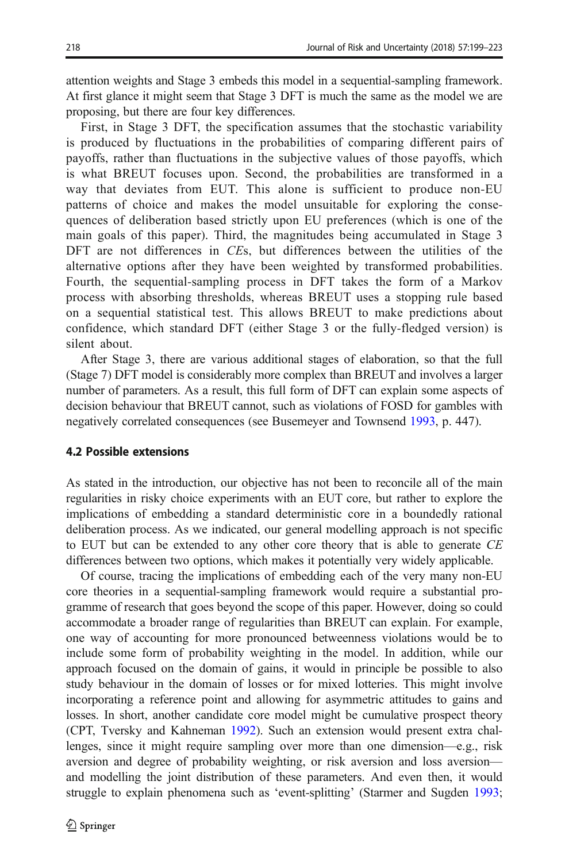attention weights and Stage 3 embeds this model in a sequential-sampling framework. At first glance it might seem that Stage 3 DFT is much the same as the model we are proposing, but there are four key differences.

First, in Stage 3 DFT, the specification assumes that the stochastic variability is produced by fluctuations in the probabilities of comparing different pairs of payoffs, rather than fluctuations in the subjective values of those payoffs, which is what BREUT focuses upon. Second, the probabilities are transformed in a way that deviates from EUT. This alone is sufficient to produce non-EU patterns of choice and makes the model unsuitable for exploring the consequences of deliberation based strictly upon EU preferences (which is one of the main goals of this paper). Third, the magnitudes being accumulated in Stage 3 DFT are not differences in CEs, but differences between the utilities of the alternative options after they have been weighted by transformed probabilities. Fourth, the sequential-sampling process in DFT takes the form of a Markov process with absorbing thresholds, whereas BREUT uses a stopping rule based on a sequential statistical test. This allows BREUT to make predictions about confidence, which standard DFT (either Stage 3 or the fully-fledged version) is silent about.

After Stage 3, there are various additional stages of elaboration, so that the full (Stage 7) DFT model is considerably more complex than BREUT and involves a larger number of parameters. As a result, this full form of DFT can explain some aspects of decision behaviour that BREUT cannot, such as violations of FOSD for gambles with negatively correlated consequences (see Busemeyer and Townsend [1993](#page-22-0), p. 447).

#### 4.2 Possible extensions

As stated in the introduction, our objective has not been to reconcile all of the main regularities in risky choice experiments with an EUT core, but rather to explore the implications of embedding a standard deterministic core in a boundedly rational deliberation process. As we indicated, our general modelling approach is not specific to EUT but can be extended to any other core theory that is able to generate  $CE$ differences between two options, which makes it potentially very widely applicable.

Of course, tracing the implications of embedding each of the very many non-EU core theories in a sequential-sampling framework would require a substantial programme of research that goes beyond the scope of this paper. However, doing so could accommodate a broader range of regularities than BREUT can explain. For example, one way of accounting for more pronounced betweenness violations would be to include some form of probability weighting in the model. In addition, while our approach focused on the domain of gains, it would in principle be possible to also study behaviour in the domain of losses or for mixed lotteries. This might involve incorporating a reference point and allowing for asymmetric attitudes to gains and losses. In short, another candidate core model might be cumulative prospect theory (CPT, Tversky and Kahneman [1992\)](#page-24-0). Such an extension would present extra challenges, since it might require sampling over more than one dimension—e.g., risk aversion and degree of probability weighting, or risk aversion and loss aversion and modelling the joint distribution of these parameters. And even then, it would struggle to explain phenomena such as 'event-splitting' (Starmer and Sugden [1993;](#page-23-0)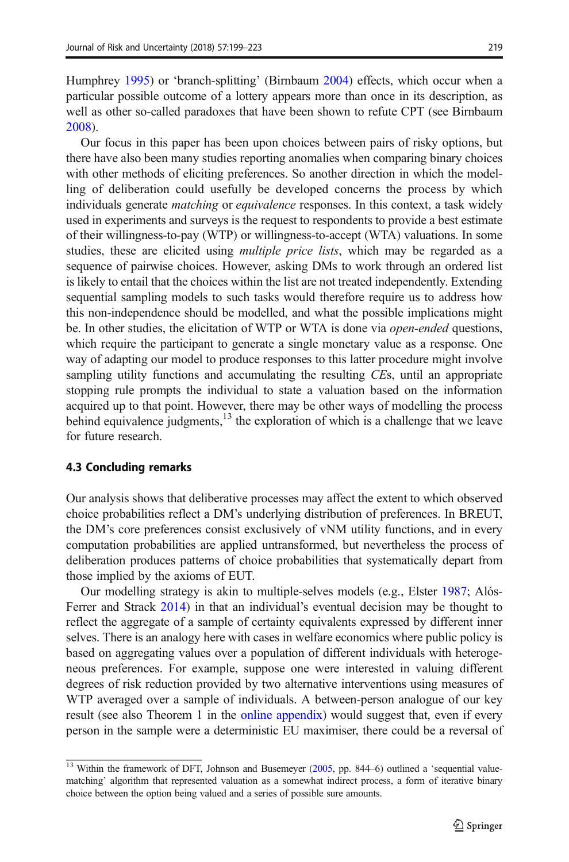Humphrey [1995\)](#page-22-0) or 'branch-splitting' (Birnbaum [2004](#page-22-0)) effects, which occur when a particular possible outcome of a lottery appears more than once in its description, as well as other so-called paradoxes that have been shown to refute CPT (see Birnbaum [2008\)](#page-22-0).

Our focus in this paper has been upon choices between pairs of risky options, but there have also been many studies reporting anomalies when comparing binary choices with other methods of eliciting preferences. So another direction in which the modelling of deliberation could usefully be developed concerns the process by which individuals generate *matching* or *equivalence* responses. In this context, a task widely used in experiments and surveys is the request to respondents to provide a best estimate of their willingness-to-pay (WTP) or willingness-to-accept (WTA) valuations. In some studies, these are elicited using *multiple price lists*, which may be regarded as a sequence of pairwise choices. However, asking DMs to work through an ordered list is likely to entail that the choices within the list are not treated independently. Extending sequential sampling models to such tasks would therefore require us to address how this non-independence should be modelled, and what the possible implications might be. In other studies, the elicitation of WTP or WTA is done via *open-ended* questions, which require the participant to generate a single monetary value as a response. One way of adapting our model to produce responses to this latter procedure might involve sampling utility functions and accumulating the resulting CEs, until an appropriate stopping rule prompts the individual to state a valuation based on the information acquired up to that point. However, there may be other ways of modelling the process behind equivalence judgments,  $^{13}$  the exploration of which is a challenge that we leave for future research.

#### 4.3 Concluding remarks

Our analysis shows that deliberative processes may affect the extent to which observed choice probabilities reflect a DM's underlying distribution of preferences. In BREUT, the DM's core preferences consist exclusively of vNM utility functions, and in every computation probabilities are applied untransformed, but nevertheless the process of deliberation produces patterns of choice probabilities that systematically depart from those implied by the axioms of EUT.

Our modelling strategy is akin to multiple-selves models (e.g., Elster [1987;](#page-22-0) Alós-Ferrer and Strack [2014\)](#page-21-0) in that an individual's eventual decision may be thought to reflect the aggregate of a sample of certainty equivalents expressed by different inner selves. There is an analogy here with cases in welfare economics where public policy is based on aggregating values over a population of different individuals with heterogeneous preferences. For example, suppose one were interested in valuing different degrees of risk reduction provided by two alternative interventions using measures of WTP averaged over a sample of individuals. A between-person analogue of our key result (see also Theorem 1 in the online appendix) would suggest that, even if every person in the sample were a deterministic EU maximiser, there could be a reversal of

<sup>&</sup>lt;sup>13</sup> Within the framework of DFT, Johnson and Busemeyer ([2005,](#page-22-0) pp. 844–6) outlined a 'sequential valuematching' algorithm that represented valuation as a somewhat indirect process, a form of iterative binary choice between the option being valued and a series of possible sure amounts.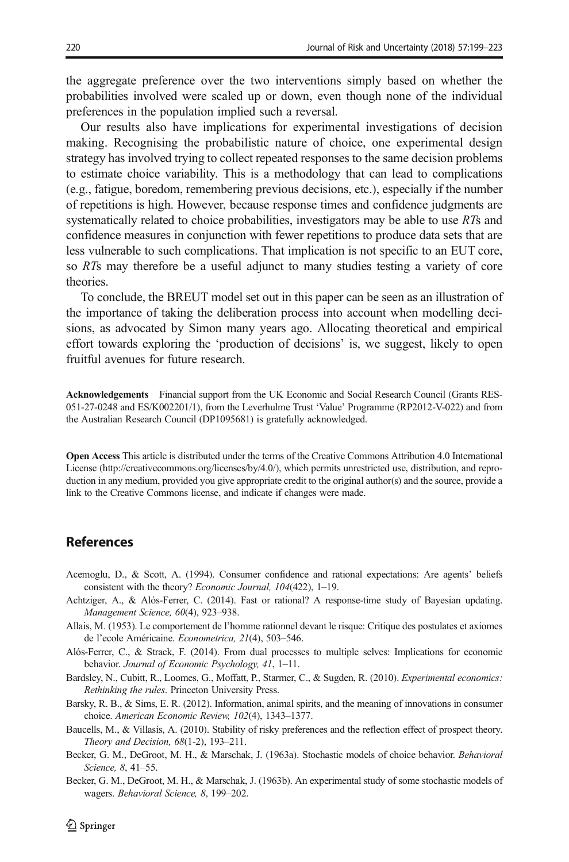<span id="page-21-0"></span>the aggregate preference over the two interventions simply based on whether the probabilities involved were scaled up or down, even though none of the individual preferences in the population implied such a reversal.

Our results also have implications for experimental investigations of decision making. Recognising the probabilistic nature of choice, one experimental design strategy has involved trying to collect repeated responses to the same decision problems to estimate choice variability. This is a methodology that can lead to complications (e.g., fatigue, boredom, remembering previous decisions, etc.), especially if the number of repetitions is high. However, because response times and confidence judgments are systematically related to choice probabilities, investigators may be able to use RTs and confidence measures in conjunction with fewer repetitions to produce data sets that are less vulnerable to such complications. That implication is not specific to an EUT core, so RTs may therefore be a useful adjunct to many studies testing a variety of core theories.

To conclude, the BREUT model set out in this paper can be seen as an illustration of the importance of taking the deliberation process into account when modelling decisions, as advocated by Simon many years ago. Allocating theoretical and empirical effort towards exploring the 'production of decisions' is, we suggest, likely to open fruitful avenues for future research.

Acknowledgements Financial support from the UK Economic and Social Research Council (Grants RES-051-27-0248 and ES/K002201/1), from the Leverhulme Trust 'Value' Programme (RP2012-V-022) and from the Australian Research Council (DP1095681) is gratefully acknowledged.

Open Access This article is distributed under the terms of the Creative Commons Attribution 4.0 International License (http://creativecommons.org/licenses/by/4.0/), which permits unrestricted use, distribution, and reproduction in any medium, provided you give appropriate credit to the original author(s) and the source, provide a link to the Creative Commons license, and indicate if changes were made.

## References

- Acemoglu, D., & Scott, A. (1994). Consumer confidence and rational expectations: Are agents' beliefs consistent with the theory? Economic Journal, 104(422), 1–19.
- Achtziger, A., & Alós-Ferrer, C. (2014). Fast or rational? A response-time study of Bayesian updating. Management Science, 60(4), 923–938.
- Allais, M. (1953). Le comportement de l'homme rationnel devant le risque: Critique des postulates et axiomes de l'ecole Américaine. Econometrica, 21(4), 503–546.
- Alós-Ferrer, C., & Strack, F. (2014). From dual processes to multiple selves: Implications for economic behavior. Journal of Economic Psychology, 41, 1–11.
- Bardsley, N., Cubitt, R., Loomes, G., Moffatt, P., Starmer, C., & Sugden, R. (2010). Experimental economics: Rethinking the rules. Princeton University Press.
- Barsky, R. B., & Sims, E. R. (2012). Information, animal spirits, and the meaning of innovations in consumer choice. American Economic Review, 102(4), 1343–1377.
- Baucells, M., & Villasís, A. (2010). Stability of risky preferences and the reflection effect of prospect theory. Theory and Decision, 68(1-2), 193–211.
- Becker, G. M., DeGroot, M. H., & Marschak, J. (1963a). Stochastic models of choice behavior. Behavioral Science, 8, 41–55.
- Becker, G. M., DeGroot, M. H., & Marschak, J. (1963b). An experimental study of some stochastic models of wagers. Behavioral Science, 8, 199–202.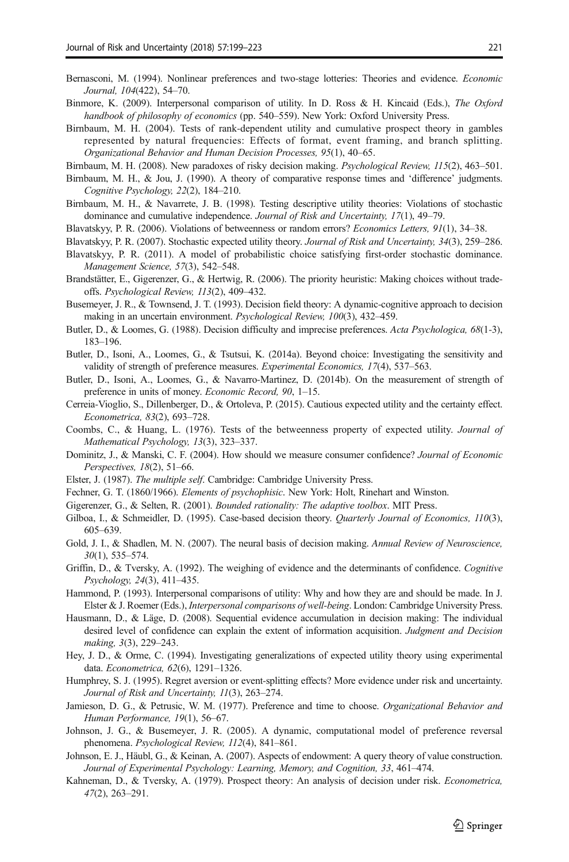- <span id="page-22-0"></span>Bernasconi, M. (1994). Nonlinear preferences and two-stage lotteries: Theories and evidence. Economic Journal, 104(422), 54–70.
- Binmore, K. (2009). Interpersonal comparison of utility. In D. Ross & H. Kincaid (Eds.), The Oxford handbook of philosophy of economics (pp. 540–559). New York: Oxford University Press.
- Birnbaum, M. H. (2004). Tests of rank-dependent utility and cumulative prospect theory in gambles represented by natural frequencies: Effects of format, event framing, and branch splitting. Organizational Behavior and Human Decision Processes, 95(1), 40–65.

Birnbaum, M. H. (2008). New paradoxes of risky decision making. Psychological Review, 115(2), 463–501.

- Birnbaum, M. H., & Jou, J. (1990). A theory of comparative response times and 'difference' judgments. Cognitive Psychology, 22(2), 184–210.
- Birnbaum, M. H., & Navarrete, J. B. (1998). Testing descriptive utility theories: Violations of stochastic dominance and cumulative independence. Journal of Risk and Uncertainty, 17(1), 49–79.
- Blavatskyy, P. R. (2006). Violations of betweenness or random errors? Economics Letters, 91(1), 34–38.
- Blavatskyy, P. R. (2007). Stochastic expected utility theory. Journal of Risk and Uncertainty, 34(3), 259–286.
- Blavatskyy, P. R. (2011). A model of probabilistic choice satisfying first-order stochastic dominance. Management Science, 57(3), 542–548.
- Brandstätter, E., Gigerenzer, G., & Hertwig, R. (2006). The priority heuristic: Making choices without tradeoffs. Psychological Review, 113(2), 409–432.
- Busemeyer, J. R., & Townsend, J. T. (1993). Decision field theory: A dynamic-cognitive approach to decision making in an uncertain environment. Psychological Review, 100(3), 432–459.
- Butler, D., & Loomes, G. (1988). Decision difficulty and imprecise preferences. Acta Psychologica, 68(1-3), 183–196.
- Butler, D., Isoni, A., Loomes, G., & Tsutsui, K. (2014a). Beyond choice: Investigating the sensitivity and validity of strength of preference measures. Experimental Economics, 17(4), 537–563.
- Butler, D., Isoni, A., Loomes, G., & Navarro-Martinez, D. (2014b). On the measurement of strength of preference in units of money. Economic Record, 90, 1–15.
- Cerreia-Vioglio, S., Dillenberger, D., & Ortoleva, P. (2015). Cautious expected utility and the certainty effect. Econometrica, 83(2), 693–728.
- Coombs, C., & Huang, L. (1976). Tests of the betweenness property of expected utility. Journal of Mathematical Psychology, 13(3), 323–337.
- Dominitz, J., & Manski, C. F. (2004). How should we measure consumer confidence? Journal of Economic Perspectives, 18(2), 51–66.
- Elster, J. (1987). The multiple self. Cambridge: Cambridge University Press.
- Fechner, G. T. (1860/1966). Elements of psychophisic. New York: Holt, Rinehart and Winston.
- Gigerenzer, G., & Selten, R. (2001). Bounded rationality: The adaptive toolbox. MIT Press.
- Gilboa, I., & Schmeidler, D. (1995). Case-based decision theory. Quarterly Journal of Economics, 110(3), 605–639.
- Gold, J. I., & Shadlen, M. N. (2007). The neural basis of decision making. Annual Review of Neuroscience, 30(1), 535–574.
- Griffin, D., & Tversky, A. (1992). The weighing of evidence and the determinants of confidence. Cognitive Psychology, 24(3), 411–435.
- Hammond, P. (1993). Interpersonal comparisons of utility: Why and how they are and should be made. In J. Elster & J. Roemer (Eds.), Interpersonal comparisons of well-being. London: Cambridge University Press.
- Hausmann, D., & Läge, D. (2008). Sequential evidence accumulation in decision making: The individual desired level of confidence can explain the extent of information acquisition. Judgment and Decision making, 3(3), 229–243.
- Hey, J. D., & Orme, C. (1994). Investigating generalizations of expected utility theory using experimental data. Econometrica, 62(6), 1291–1326.
- Humphrey, S. J. (1995). Regret aversion or event-splitting effects? More evidence under risk and uncertainty. Journal of Risk and Uncertainty, 11(3), 263–274.
- Jamieson, D. G., & Petrusic, W. M. (1977). Preference and time to choose. Organizational Behavior and Human Performance, 19(1), 56–67.
- Johnson, J. G., & Busemeyer, J. R. (2005). A dynamic, computational model of preference reversal phenomena. Psychological Review, 112(4), 841–861.
- Johnson, E. J., Häubl, G., & Keinan, A. (2007). Aspects of endowment: A query theory of value construction. Journal of Experimental Psychology: Learning, Memory, and Cognition, 33, 461–474.
- Kahneman, D., & Tversky, A. (1979). Prospect theory: An analysis of decision under risk. Econometrica, 47(2), 263–291.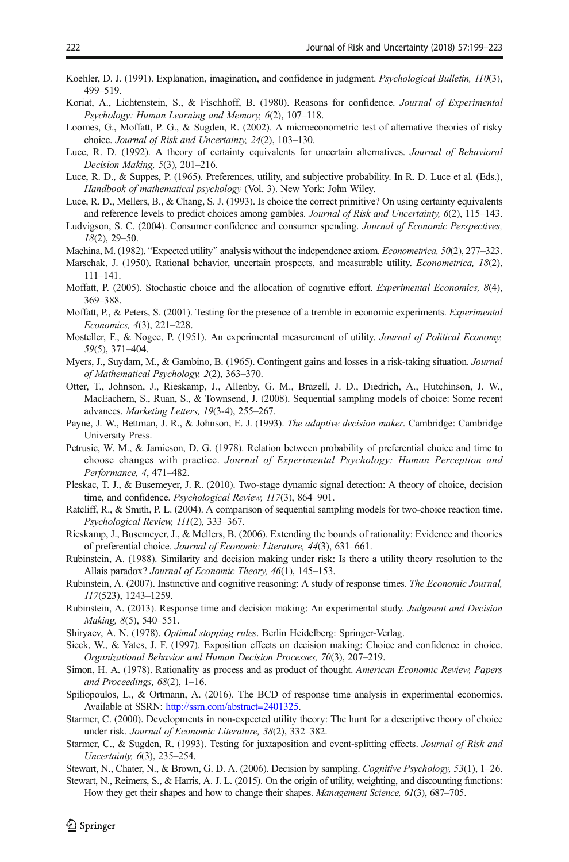- <span id="page-23-0"></span>Koehler, D. J. (1991). Explanation, imagination, and confidence in judgment. Psychological Bulletin, 110(3), 499–519.
- Koriat, A., Lichtenstein, S., & Fischhoff, B. (1980). Reasons for confidence. Journal of Experimental Psychology: Human Learning and Memory, 6(2), 107–118.
- Loomes, G., Moffatt, P. G., & Sugden, R. (2002). A microeconometric test of alternative theories of risky choice. Journal of Risk and Uncertainty, 24(2), 103–130.
- Luce, R. D. (1992). A theory of certainty equivalents for uncertain alternatives. Journal of Behavioral Decision Making, 5(3), 201–216.
- Luce, R. D., & Suppes, P. (1965). Preferences, utility, and subjective probability. In R. D. Luce et al. (Eds.), Handbook of mathematical psychology (Vol. 3). New York: John Wiley.
- Luce, R. D., Mellers, B., & Chang, S. J. (1993). Is choice the correct primitive? On using certainty equivalents and reference levels to predict choices among gambles. Journal of Risk and Uncertainty, 6(2), 115–143.
- Ludvigson, S. C. (2004). Consumer confidence and consumer spending. Journal of Economic Perspectives, 18(2), 29–50.
- Machina, M. (1982). "Expected utility" analysis without the independence axiom. Econometrica, 50(2), 277–323.
- Marschak, J. (1950). Rational behavior, uncertain prospects, and measurable utility. *Econometrica*, 18(2), 111–141.
- Moffatt, P. (2005). Stochastic choice and the allocation of cognitive effort. Experimental Economics, 8(4), 369–388.
- Moffatt, P., & Peters, S. (2001). Testing for the presence of a tremble in economic experiments. Experimental Economics, 4(3), 221–228.
- Mosteller, F., & Nogee, P. (1951). An experimental measurement of utility. Journal of Political Economy, 59(5), 371–404.
- Myers, J., Suydam, M., & Gambino, B. (1965). Contingent gains and losses in a risk-taking situation. *Journal* of Mathematical Psychology, 2(2), 363–370.
- Otter, T., Johnson, J., Rieskamp, J., Allenby, G. M., Brazell, J. D., Diedrich, A., Hutchinson, J. W., MacEachern, S., Ruan, S., & Townsend, J. (2008). Sequential sampling models of choice: Some recent advances. Marketing Letters, 19(3-4), 255–267.
- Payne, J. W., Bettman, J. R., & Johnson, E. J. (1993). The adaptive decision maker. Cambridge: Cambridge University Press.
- Petrusic, W. M., & Jamieson, D. G. (1978). Relation between probability of preferential choice and time to choose changes with practice. Journal of Experimental Psychology: Human Perception and Performance, 4, 471–482.
- Pleskac, T. J., & Busemeyer, J. R. (2010). Two-stage dynamic signal detection: A theory of choice, decision time, and confidence. Psychological Review, 117(3), 864–901.
- Ratcliff, R., & Smith, P. L. (2004). A comparison of sequential sampling models for two-choice reaction time. Psychological Review, 111(2), 333–367.
- Rieskamp, J., Busemeyer, J., & Mellers, B. (2006). Extending the bounds of rationality: Evidence and theories of preferential choice. Journal of Economic Literature, 44(3), 631–661.
- Rubinstein, A. (1988). Similarity and decision making under risk: Is there a utility theory resolution to the Allais paradox? Journal of Economic Theory, 46(1), 145–153.
- Rubinstein, A. (2007). Instinctive and cognitive reasoning: A study of response times. The Economic Journal, 117(523), 1243–1259.
- Rubinstein, A. (2013). Response time and decision making: An experimental study. Judgment and Decision Making, 8(5), 540–551.
- Shiryaev, A. N. (1978). Optimal stopping rules. Berlin Heidelberg: Springer-Verlag.
- Sieck, W., & Yates, J. F. (1997). Exposition effects on decision making: Choice and confidence in choice. Organizational Behavior and Human Decision Processes, 70(3), 207–219.
- Simon, H. A. (1978). Rationality as process and as product of thought. American Economic Review, Papers and Proceedings,  $68(2)$ , 1–16.
- Spiliopoulos, L., & Ortmann, A. (2016). The BCD of response time analysis in experimental economics. Available at SSRN: [http://ssrn.com/abstract=2401325.](http://ssrn.com/abstract=2401325)
- Starmer, C. (2000). Developments in non-expected utility theory: The hunt for a descriptive theory of choice under risk. Journal of Economic Literature, 38(2), 332–382.
- Starmer, C., & Sugden, R. (1993). Testing for juxtaposition and event-splitting effects. Journal of Risk and Uncertainty, 6(3), 235–254.
- Stewart, N., Chater, N., & Brown, G. D. A. (2006). Decision by sampling. Cognitive Psychology, 53(1), 1–26.
- Stewart, N., Reimers, S., & Harris, A. J. L. (2015). On the origin of utility, weighting, and discounting functions: How they get their shapes and how to change their shapes. Management Science, 61(3), 687–705.